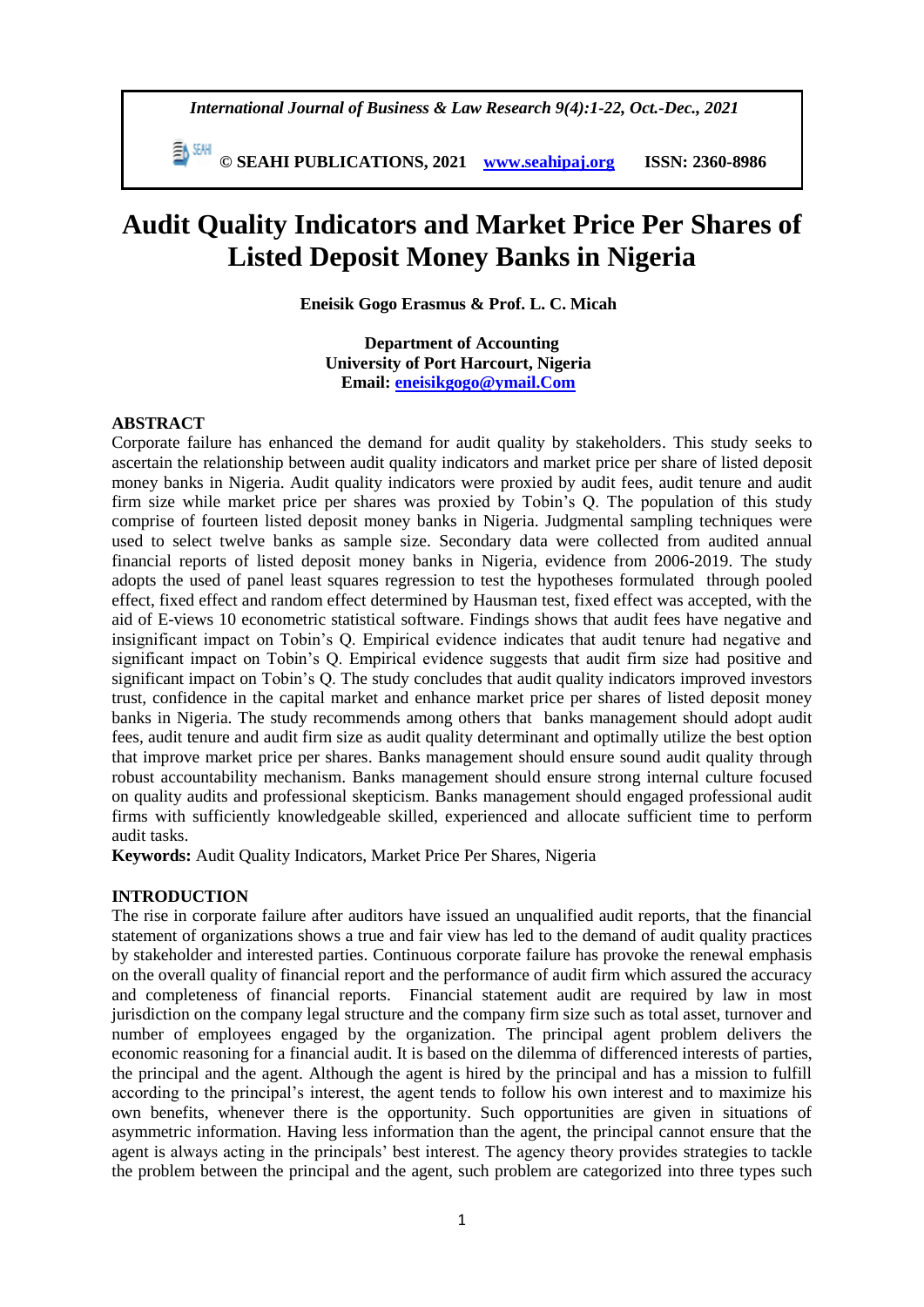*International Journal of Business & Law Research 9(4):1-22, Oct.-Dec., 2021*

 **© SEAHI PUBLICATIONS, 2021 [www.seahipaj.org](http://www.seahipaj.org/) ISSN: 2360-8986**

# **Audit Quality Indicators and Market Price Per Shares of Listed Deposit Money Banks in Nigeria**

**Eneisik Gogo Erasmus & Prof. L. C. Micah**

**Department of Accounting University of Port Harcourt, Nigeria Email: [eneisikgogo@ymail.Com](mailto:eneisikgogo@ymail.Com)**

#### **ABSTRACT**

Corporate failure has enhanced the demand for audit quality by stakeholders. This study seeks to ascertain the relationship between audit quality indicators and market price per share of listed deposit money banks in Nigeria. Audit quality indicators were proxied by audit fees, audit tenure and audit firm size while market price per shares was proxied by Tobin's Q. The population of this study comprise of fourteen listed deposit money banks in Nigeria. Judgmental sampling techniques were used to select twelve banks as sample size. Secondary data were collected from audited annual financial reports of listed deposit money banks in Nigeria, evidence from 2006-2019. The study adopts the used of panel least squares regression to test the hypotheses formulated through pooled effect, fixed effect and random effect determined by Hausman test, fixed effect was accepted, with the aid of E-views 10 econometric statistical software. Findings shows that audit fees have negative and insignificant impact on Tobin's Q. Empirical evidence indicates that audit tenure had negative and significant impact on Tobin's Q. Empirical evidence suggests that audit firm size had positive and significant impact on Tobin's Q. The study concludes that audit quality indicators improved investors trust, confidence in the capital market and enhance market price per shares of listed deposit money banks in Nigeria. The study recommends among others that banks management should adopt audit fees, audit tenure and audit firm size as audit quality determinant and optimally utilize the best option that improve market price per shares. Banks management should ensure sound audit quality through robust accountability mechanism. Banks management should ensure strong internal culture focused on quality audits and professional skepticism. Banks management should engaged professional audit firms with sufficiently knowledgeable skilled, experienced and allocate sufficient time to perform audit tasks.

**Keywords:** Audit Quality Indicators, Market Price Per Shares, Nigeria

#### **INTRODUCTION**

The rise in corporate failure after auditors have issued an unqualified audit reports, that the financial statement of organizations shows a true and fair view has led to the demand of audit quality practices by stakeholder and interested parties. Continuous corporate failure has provoke the renewal emphasis on the overall quality of financial report and the performance of audit firm which assured the accuracy and completeness of financial reports. Financial statement audit are required by law in most jurisdiction on the company legal structure and the company firm size such as total asset, turnover and number of employees engaged by the organization. The principal agent problem delivers the economic reasoning for a financial audit. It is based on the dilemma of differenced interests of parties, the principal and the agent. Although the agent is hired by the principal and has a mission to fulfill according to the principal's interest, the agent tends to follow his own interest and to maximize his own benefits, whenever there is the opportunity. Such opportunities are given in situations of asymmetric information. Having less information than the agent, the principal cannot ensure that the agent is always acting in the principals' best interest. The agency theory provides strategies to tackle the problem between the principal and the agent, such problem are categorized into three types such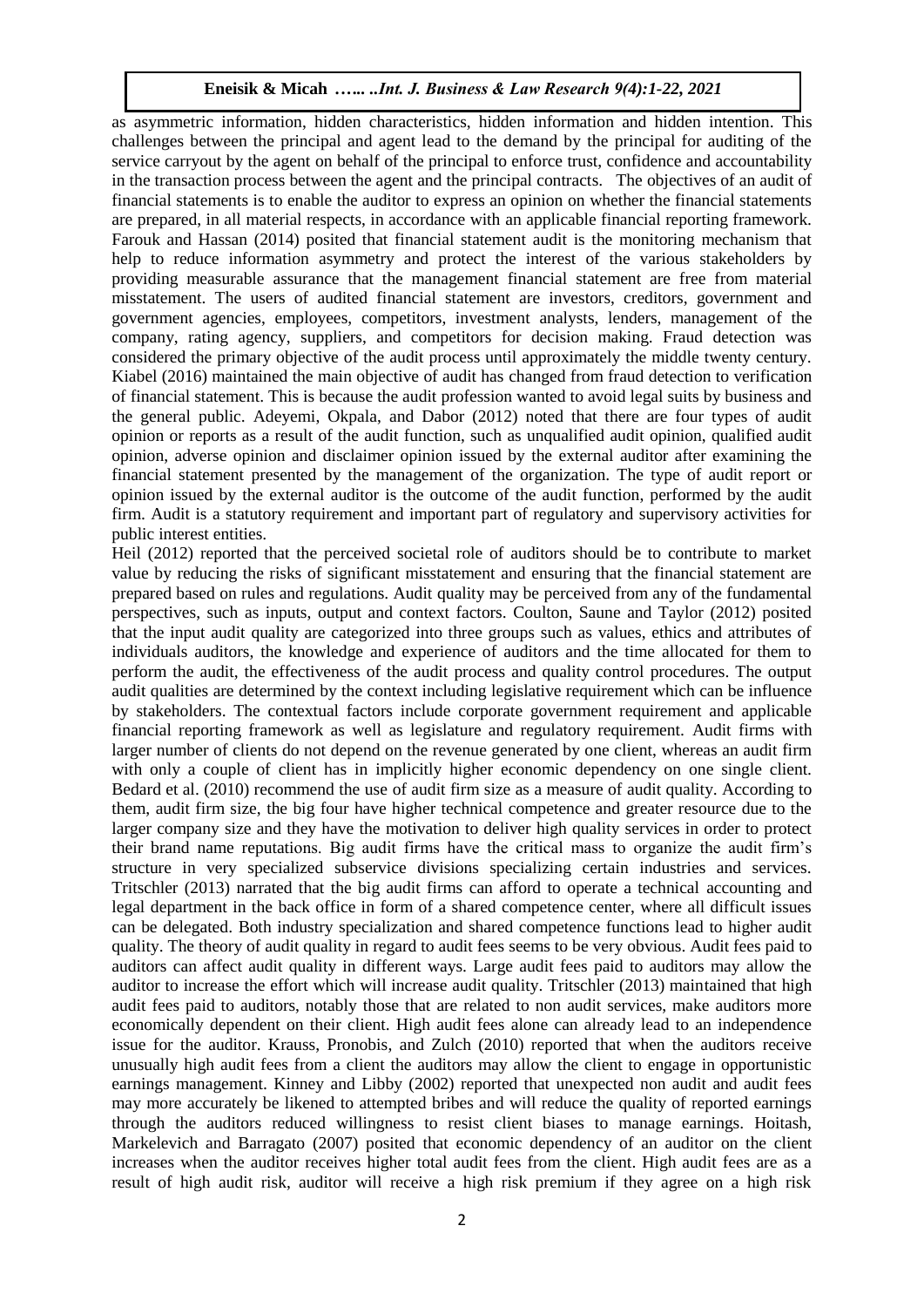as asymmetric information, hidden characteristics, hidden information and hidden intention. This challenges between the principal and agent lead to the demand by the principal for auditing of the service carryout by the agent on behalf of the principal to enforce trust, confidence and accountability in the transaction process between the agent and the principal contracts. The objectives of an audit of financial statements is to enable the auditor to express an opinion on whether the financial statements are prepared, in all material respects, in accordance with an applicable financial reporting framework. Farouk and Hassan (2014) posited that financial statement audit is the monitoring mechanism that help to reduce information asymmetry and protect the interest of the various stakeholders by providing measurable assurance that the management financial statement are free from material misstatement. The users of audited financial statement are investors, creditors, government and government agencies, employees, competitors, investment analysts, lenders, management of the company, rating agency, suppliers, and competitors for decision making. Fraud detection was considered the primary objective of the audit process until approximately the middle twenty century. Kiabel (2016) maintained the main objective of audit has changed from fraud detection to verification of financial statement. This is because the audit profession wanted to avoid legal suits by business and the general public. Adeyemi, Okpala, and Dabor (2012) noted that there are four types of audit opinion or reports as a result of the audit function, such as unqualified audit opinion, qualified audit opinion, adverse opinion and disclaimer opinion issued by the external auditor after examining the financial statement presented by the management of the organization. The type of audit report or opinion issued by the external auditor is the outcome of the audit function, performed by the audit firm. Audit is a statutory requirement and important part of regulatory and supervisory activities for public interest entities.

Heil (2012) reported that the perceived societal role of auditors should be to contribute to market value by reducing the risks of significant misstatement and ensuring that the financial statement are prepared based on rules and regulations. Audit quality may be perceived from any of the fundamental perspectives, such as inputs, output and context factors. Coulton, Saune and Taylor (2012) posited that the input audit quality are categorized into three groups such as values, ethics and attributes of individuals auditors, the knowledge and experience of auditors and the time allocated for them to perform the audit, the effectiveness of the audit process and quality control procedures. The output audit qualities are determined by the context including legislative requirement which can be influence by stakeholders. The contextual factors include corporate government requirement and applicable financial reporting framework as well as legislature and regulatory requirement. Audit firms with larger number of clients do not depend on the revenue generated by one client, whereas an audit firm with only a couple of client has in implicitly higher economic dependency on one single client. Bedard et al. (2010) recommend the use of audit firm size as a measure of audit quality. According to them, audit firm size, the big four have higher technical competence and greater resource due to the larger company size and they have the motivation to deliver high quality services in order to protect their brand name reputations. Big audit firms have the critical mass to organize the audit firm's structure in very specialized subservice divisions specializing certain industries and services. Tritschler (2013) narrated that the big audit firms can afford to operate a technical accounting and legal department in the back office in form of a shared competence center, where all difficult issues can be delegated. Both industry specialization and shared competence functions lead to higher audit quality. The theory of audit quality in regard to audit fees seems to be very obvious. Audit fees paid to auditors can affect audit quality in different ways. Large audit fees paid to auditors may allow the auditor to increase the effort which will increase audit quality. Tritschler (2013) maintained that high audit fees paid to auditors, notably those that are related to non audit services, make auditors more economically dependent on their client. High audit fees alone can already lead to an independence issue for the auditor. Krauss, Pronobis, and Zulch (2010) reported that when the auditors receive unusually high audit fees from a client the auditors may allow the client to engage in opportunistic earnings management. Kinney and Libby (2002) reported that unexpected non audit and audit fees may more accurately be likened to attempted bribes and will reduce the quality of reported earnings through the auditors reduced willingness to resist client biases to manage earnings. Hoitash, Markelevich and Barragato (2007) posited that economic dependency of an auditor on the client increases when the auditor receives higher total audit fees from the client. High audit fees are as a result of high audit risk, auditor will receive a high risk premium if they agree on a high risk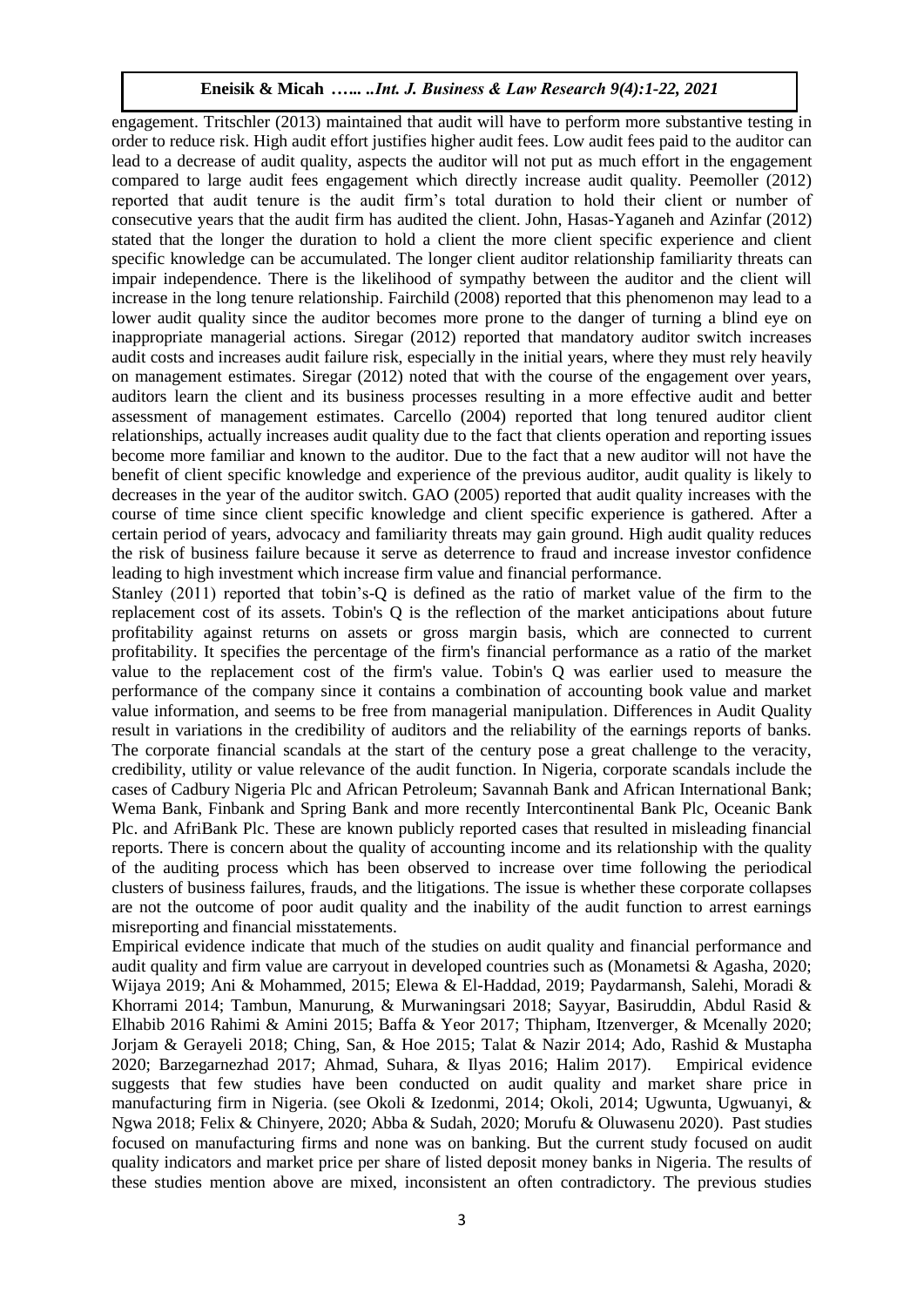engagement. Tritschler (2013) maintained that audit will have to perform more substantive testing in order to reduce risk. High audit effort justifies higher audit fees. Low audit fees paid to the auditor can lead to a decrease of audit quality, aspects the auditor will not put as much effort in the engagement compared to large audit fees engagement which directly increase audit quality. Peemoller (2012) reported that audit tenure is the audit firm's total duration to hold their client or number of consecutive years that the audit firm has audited the client. John, Hasas-Yaganeh and Azinfar (2012) stated that the longer the duration to hold a client the more client specific experience and client specific knowledge can be accumulated. The longer client auditor relationship familiarity threats can impair independence. There is the likelihood of sympathy between the auditor and the client will increase in the long tenure relationship. Fairchild (2008) reported that this phenomenon may lead to a lower audit quality since the auditor becomes more prone to the danger of turning a blind eye on inappropriate managerial actions. Siregar (2012) reported that mandatory auditor switch increases audit costs and increases audit failure risk, especially in the initial years, where they must rely heavily on management estimates. Siregar (2012) noted that with the course of the engagement over years, auditors learn the client and its business processes resulting in a more effective audit and better assessment of management estimates. Carcello (2004) reported that long tenured auditor client relationships, actually increases audit quality due to the fact that clients operation and reporting issues become more familiar and known to the auditor. Due to the fact that a new auditor will not have the benefit of client specific knowledge and experience of the previous auditor, audit quality is likely to decreases in the year of the auditor switch. GAO (2005) reported that audit quality increases with the course of time since client specific knowledge and client specific experience is gathered. After a certain period of years, advocacy and familiarity threats may gain ground. High audit quality reduces the risk of business failure because it serve as deterrence to fraud and increase investor confidence leading to high investment which increase firm value and financial performance.

Stanley (2011) reported that tobin's-Q is defined as the ratio of market value of the firm to the replacement cost of its assets. Tobin's Q is the reflection of the market anticipations about future profitability against returns on assets or gross margin basis, which are connected to current profitability. It specifies the percentage of the firm's financial performance as a ratio of the market value to the replacement cost of the firm's value. Tobin's Q was earlier used to measure the performance of the company since it contains a combination of accounting book value and market value information, and seems to be free from managerial manipulation. Differences in Audit Quality result in variations in the credibility of auditors and the reliability of the earnings reports of banks. The corporate financial scandals at the start of the century pose a great challenge to the veracity, credibility, utility or value relevance of the audit function. In Nigeria, corporate scandals include the cases of Cadbury Nigeria Plc and African Petroleum; Savannah Bank and African International Bank; Wema Bank, Finbank and Spring Bank and more recently Intercontinental Bank Plc, Oceanic Bank Plc. and AfriBank Plc. These are known publicly reported cases that resulted in misleading financial reports. There is concern about the quality of accounting income and its relationship with the quality of the auditing process which has been observed to increase over time following the periodical clusters of business failures, frauds, and the litigations. The issue is whether these corporate collapses are not the outcome of poor audit quality and the inability of the audit function to arrest earnings misreporting and financial misstatements.

Empirical evidence indicate that much of the studies on audit quality and financial performance and audit quality and firm value are carryout in developed countries such as (Monametsi & Agasha, 2020; Wijaya 2019; Ani & Mohammed, 2015; Elewa & El-Haddad, 2019; Paydarmansh, Salehi, Moradi & Khorrami 2014; Tambun, Manurung, & Murwaningsari 2018; Sayyar, Basiruddin, Abdul Rasid & Elhabib 2016 Rahimi & Amini 2015; Baffa & Yeor 2017; Thipham, Itzenverger, & Mcenally 2020; Jorjam & Gerayeli 2018; Ching, San, & Hoe 2015; Talat & Nazir 2014; Ado, Rashid & Mustapha 2020; Barzegarnezhad 2017; Ahmad, Suhara, & Ilyas 2016; Halim 2017). Empirical evidence suggests that few studies have been conducted on audit quality and market share price in manufacturing firm in Nigeria. (see Okoli & Izedonmi, 2014; Okoli, 2014; Ugwunta, Ugwuanyi, & Ngwa 2018; Felix & Chinyere, 2020; Abba & Sudah, 2020; Morufu & Oluwasenu 2020). Past studies focused on manufacturing firms and none was on banking. But the current study focused on audit quality indicators and market price per share of listed deposit money banks in Nigeria. The results of these studies mention above are mixed, inconsistent an often contradictory. The previous studies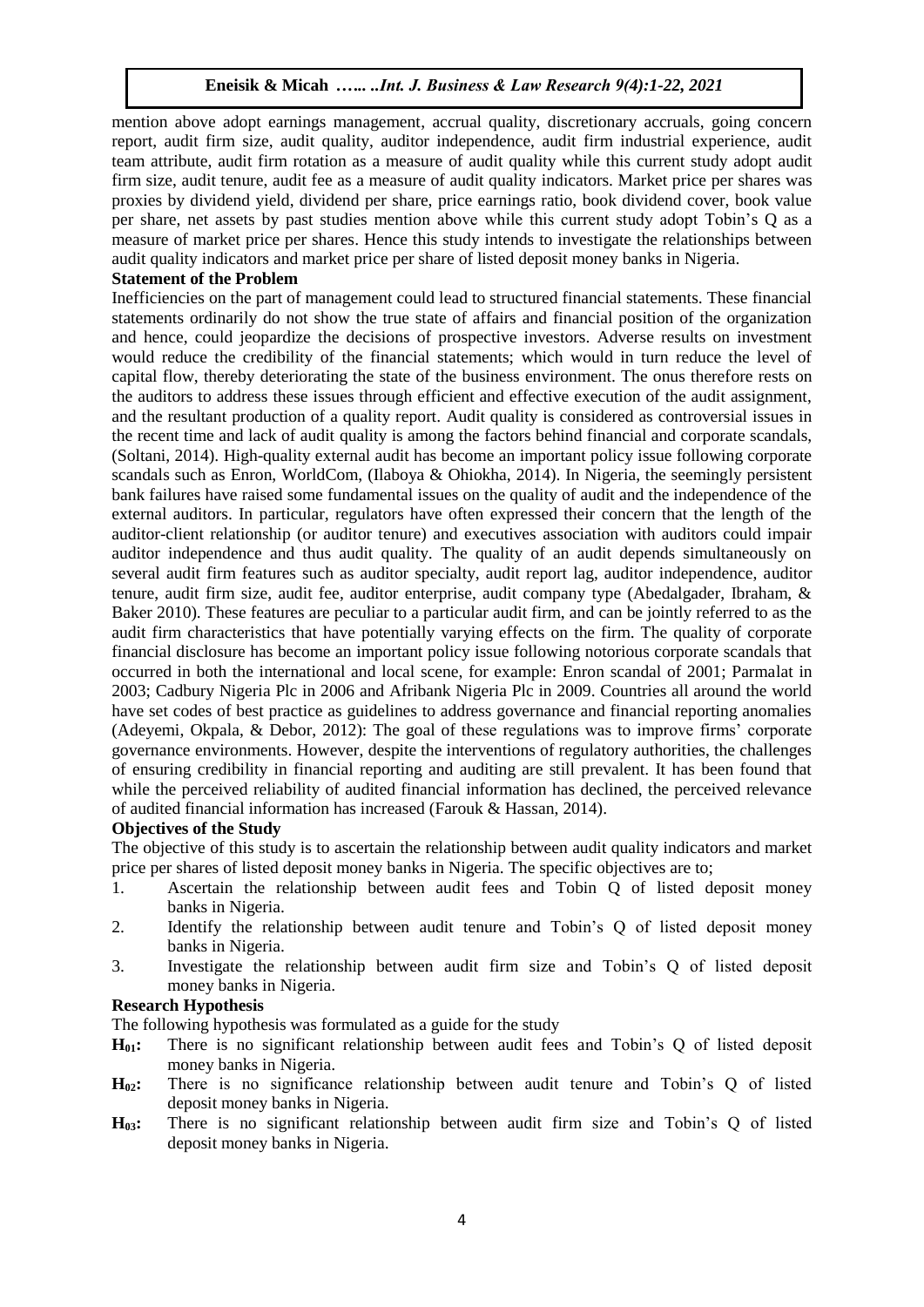mention above adopt earnings management, accrual quality, discretionary accruals, going concern report, audit firm size, audit quality, auditor independence, audit firm industrial experience, audit team attribute, audit firm rotation as a measure of audit quality while this current study adopt audit firm size, audit tenure, audit fee as a measure of audit quality indicators. Market price per shares was proxies by dividend yield, dividend per share, price earnings ratio, book dividend cover, book value per share, net assets by past studies mention above while this current study adopt Tobin's Q as a measure of market price per shares. Hence this study intends to investigate the relationships between audit quality indicators and market price per share of listed deposit money banks in Nigeria.

## **Statement of the Problem**

Inefficiencies on the part of management could lead to structured financial statements. These financial statements ordinarily do not show the true state of affairs and financial position of the organization and hence, could jeopardize the decisions of prospective investors. Adverse results on investment would reduce the credibility of the financial statements; which would in turn reduce the level of capital flow, thereby deteriorating the state of the business environment. The onus therefore rests on the auditors to address these issues through efficient and effective execution of the audit assignment, and the resultant production of a quality report. Audit quality is considered as controversial issues in the recent time and lack of audit quality is among the factors behind financial and corporate scandals, (Soltani, 2014). High-quality external audit has become an important policy issue following corporate scandals such as Enron, WorldCom, (Ilaboya & Ohiokha, 2014). In Nigeria, the seemingly persistent bank failures have raised some fundamental issues on the quality of audit and the independence of the external auditors. In particular, regulators have often expressed their concern that the length of the auditor-client relationship (or auditor tenure) and executives association with auditors could impair auditor independence and thus audit quality. The quality of an audit depends simultaneously on several audit firm features such as auditor specialty, audit report lag, auditor independence, auditor tenure, audit firm size, audit fee, auditor enterprise, audit company type (Abedalgader, Ibraham, & Baker 2010). These features are peculiar to a particular audit firm, and can be jointly referred to as the audit firm characteristics that have potentially varying effects on the firm. The quality of corporate financial disclosure has become an important policy issue following notorious corporate scandals that occurred in both the international and local scene, for example: Enron scandal of 2001; Parmalat in 2003; Cadbury Nigeria Plc in 2006 and Afribank Nigeria Plc in 2009. Countries all around the world have set codes of best practice as guidelines to address governance and financial reporting anomalies (Adeyemi, Okpala, & Debor, 2012): The goal of these regulations was to improve firms' corporate governance environments. However, despite the interventions of regulatory authorities, the challenges of ensuring credibility in financial reporting and auditing are still prevalent. It has been found that while the perceived reliability of audited financial information has declined, the perceived relevance of audited financial information has increased (Farouk & Hassan, 2014).

## **Objectives of the Study**

The objective of this study is to ascertain the relationship between audit quality indicators and market price per shares of listed deposit money banks in Nigeria. The specific objectives are to;

- 1. Ascertain the relationship between audit fees and Tobin Q of listed deposit money banks in Nigeria.
- 2. Identify the relationship between audit tenure and Tobin's Q of listed deposit money banks in Nigeria.
- 3. Investigate the relationship between audit firm size and Tobin's Q of listed deposit money banks in Nigeria.

## **Research Hypothesis**

The following hypothesis was formulated as a guide for the study

- **H01:** There is no significant relationship between audit fees and Tobin's Q of listed deposit money banks in Nigeria.
- **H02:** There is no significance relationship between audit tenure and Tobin's Q of listed deposit money banks in Nigeria.
- **H03:** There is no significant relationship between audit firm size and Tobin's Q of listed deposit money banks in Nigeria.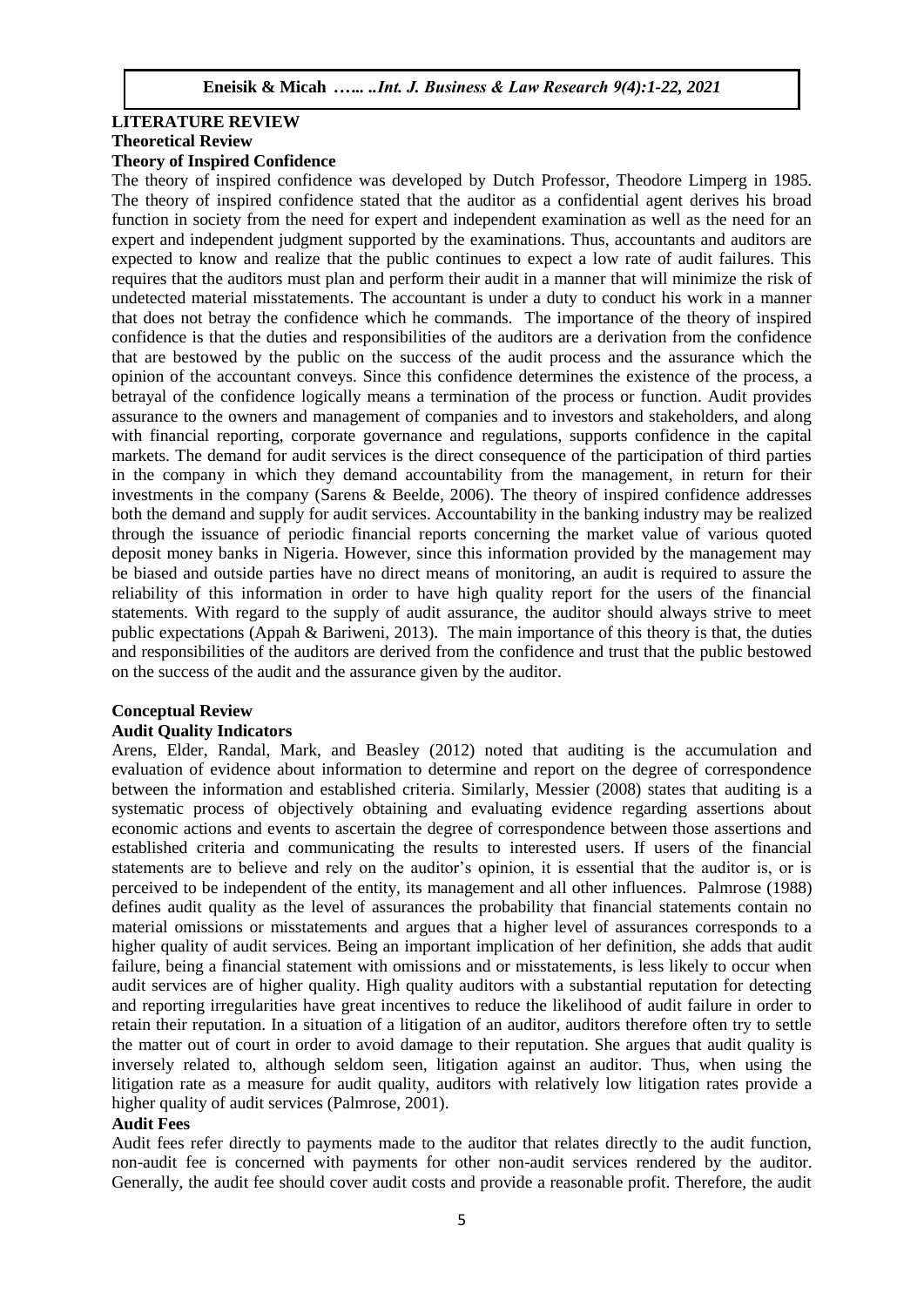## **LITERATURE REVIEW**

#### **Theoretical Review**

## **Theory of Inspired Confidence**

The theory of inspired confidence was developed by Dutch Professor, Theodore Limperg in 1985. The theory of inspired confidence stated that the auditor as a confidential agent derives his broad function in society from the need for expert and independent examination as well as the need for an expert and independent judgment supported by the examinations. Thus, accountants and auditors are expected to know and realize that the public continues to expect a low rate of audit failures. This requires that the auditors must plan and perform their audit in a manner that will minimize the risk of undetected material misstatements. The accountant is under a duty to conduct his work in a manner that does not betray the confidence which he commands. The importance of the theory of inspired confidence is that the duties and responsibilities of the auditors are a derivation from the confidence that are bestowed by the public on the success of the audit process and the assurance which the opinion of the accountant conveys. Since this confidence determines the existence of the process, a betrayal of the confidence logically means a termination of the process or function. Audit provides assurance to the owners and management of companies and to investors and stakeholders, and along with financial reporting, corporate governance and regulations, supports confidence in the capital markets. The demand for audit services is the direct consequence of the participation of third parties in the company in which they demand accountability from the management, in return for their investments in the company (Sarens & Beelde, 2006). The theory of inspired confidence addresses both the demand and supply for audit services. Accountability in the banking industry may be realized through the issuance of periodic financial reports concerning the market value of various quoted deposit money banks in Nigeria. However, since this information provided by the management may be biased and outside parties have no direct means of monitoring, an audit is required to assure the reliability of this information in order to have high quality report for the users of the financial statements. With regard to the supply of audit assurance, the auditor should always strive to meet public expectations (Appah & Bariweni, 2013). The main importance of this theory is that, the duties and responsibilities of the auditors are derived from the confidence and trust that the public bestowed on the success of the audit and the assurance given by the auditor.

## **Conceptual Review**

#### **Audit Quality Indicators**

Arens, Elder, Randal, Mark, and Beasley (2012) noted that auditing is the accumulation and evaluation of evidence about information to determine and report on the degree of correspondence between the information and established criteria. Similarly, Messier (2008) states that auditing is a systematic process of objectively obtaining and evaluating evidence regarding assertions about economic actions and events to ascertain the degree of correspondence between those assertions and established criteria and communicating the results to interested users. If users of the financial statements are to believe and rely on the auditor's opinion, it is essential that the auditor is, or is perceived to be independent of the entity, its management and all other influences. Palmrose (1988) defines audit quality as the level of assurances the probability that financial statements contain no material omissions or misstatements and argues that a higher level of assurances corresponds to a higher quality of audit services. Being an important implication of her definition, she adds that audit failure, being a financial statement with omissions and or misstatements, is less likely to occur when audit services are of higher quality. High quality auditors with a substantial reputation for detecting and reporting irregularities have great incentives to reduce the likelihood of audit failure in order to retain their reputation. In a situation of a litigation of an auditor, auditors therefore often try to settle the matter out of court in order to avoid damage to their reputation. She argues that audit quality is inversely related to, although seldom seen, litigation against an auditor. Thus, when using the litigation rate as a measure for audit quality, auditors with relatively low litigation rates provide a higher quality of audit services (Palmrose, 2001).

#### **Audit Fees**

Audit fees refer directly to payments made to the auditor that relates directly to the audit function, non-audit fee is concerned with payments for other non-audit services rendered by the auditor. Generally, the audit fee should cover audit costs and provide a reasonable profit. Therefore, the audit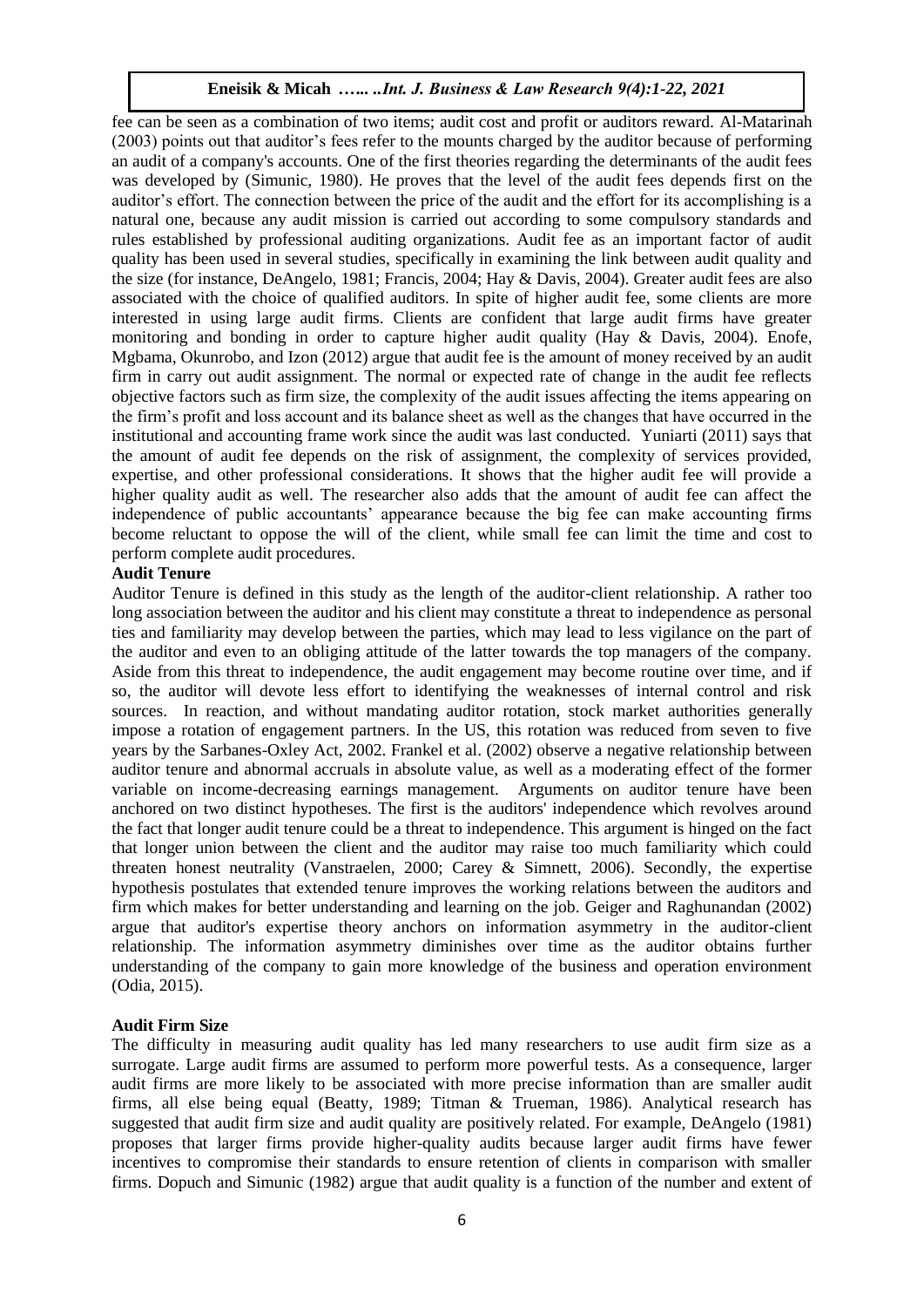fee can be seen as a combination of two items; audit cost and profit or auditors reward. Al-Matarinah (2003) points out that auditor's fees refer to the mounts charged by the auditor because of performing an audit of a company's accounts. One of the first theories regarding the determinants of the audit fees was developed by (Simunic, 1980). He proves that the level of the audit fees depends first on the auditor's effort. The connection between the price of the audit and the effort for its accomplishing is a natural one, because any audit mission is carried out according to some compulsory standards and rules established by professional auditing organizations. Audit fee as an important factor of audit quality has been used in several studies, specifically in examining the link between audit quality and the size (for instance, DeAngelo, 1981; Francis, 2004; Hay & Davis, 2004). Greater audit fees are also associated with the choice of qualified auditors. In spite of higher audit fee, some clients are more interested in using large audit firms. Clients are confident that large audit firms have greater monitoring and bonding in order to capture higher audit quality (Hay & Davis, 2004). Enofe, Mgbama, Okunrobo, and Izon (2012) argue that audit fee is the amount of money received by an audit firm in carry out audit assignment. The normal or expected rate of change in the audit fee reflects objective factors such as firm size, the complexity of the audit issues affecting the items appearing on the firm's profit and loss account and its balance sheet as well as the changes that have occurred in the institutional and accounting frame work since the audit was last conducted. Yuniarti (2011) says that the amount of audit fee depends on the risk of assignment, the complexity of services provided, expertise, and other professional considerations. It shows that the higher audit fee will provide a higher quality audit as well. The researcher also adds that the amount of audit fee can affect the independence of public accountants' appearance because the big fee can make accounting firms become reluctant to oppose the will of the client, while small fee can limit the time and cost to perform complete audit procedures.

## **Audit Tenure**

Auditor Tenure is defined in this study as the length of the auditor-client relationship. A rather too long association between the auditor and his client may constitute a threat to independence as personal ties and familiarity may develop between the parties, which may lead to less vigilance on the part of the auditor and even to an obliging attitude of the latter towards the top managers of the company. Aside from this threat to independence, the audit engagement may become routine over time, and if so, the auditor will devote less effort to identifying the weaknesses of internal control and risk sources. In reaction, and without mandating auditor rotation, stock market authorities generally impose a rotation of engagement partners. In the US, this rotation was reduced from seven to five years by the Sarbanes-Oxley Act, 2002. Frankel et al. (2002) observe a negative relationship between auditor tenure and abnormal accruals in absolute value, as well as a moderating effect of the former variable on income-decreasing earnings management. Arguments on auditor tenure have been anchored on two distinct hypotheses. The first is the auditors' independence which revolves around the fact that longer audit tenure could be a threat to independence. This argument is hinged on the fact that longer union between the client and the auditor may raise too much familiarity which could threaten honest neutrality (Vanstraelen, 2000; Carey  $\&$  Simnett, 2006). Secondly, the expertise hypothesis postulates that extended tenure improves the working relations between the auditors and firm which makes for better understanding and learning on the job. Geiger and Raghunandan (2002) argue that auditor's expertise theory anchors on information asymmetry in the auditor-client relationship. The information asymmetry diminishes over time as the auditor obtains further understanding of the company to gain more knowledge of the business and operation environment (Odia, 2015).

#### **Audit Firm Size**

The difficulty in measuring audit quality has led many researchers to use audit firm size as a surrogate. Large audit firms are assumed to perform more powerful tests. As a consequence, larger audit firms are more likely to be associated with more precise information than are smaller audit firms, all else being equal (Beatty, 1989; Titman & Trueman, 1986). Analytical research has suggested that audit firm size and audit quality are positively related. For example, DeAngelo (1981) proposes that larger firms provide higher-quality audits because larger audit firms have fewer incentives to compromise their standards to ensure retention of clients in comparison with smaller firms. Dopuch and Simunic (1982) argue that audit quality is a function of the number and extent of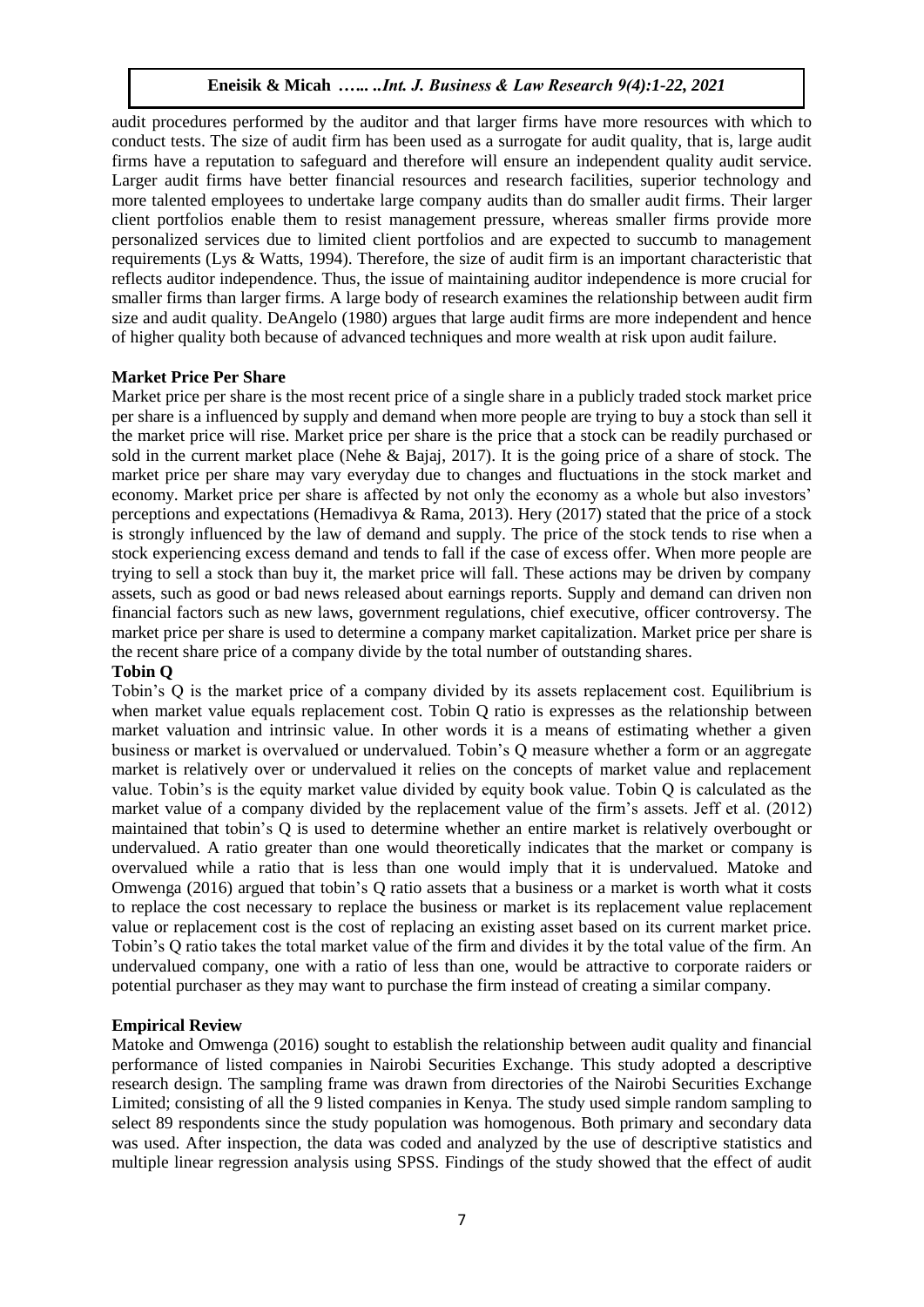audit procedures performed by the auditor and that larger firms have more resources with which to conduct tests. The size of audit firm has been used as a surrogate for audit quality, that is, large audit firms have a reputation to safeguard and therefore will ensure an independent quality audit service. Larger audit firms have better financial resources and research facilities, superior technology and more talented employees to undertake large company audits than do smaller audit firms. Their larger client portfolios enable them to resist management pressure, whereas smaller firms provide more personalized services due to limited client portfolios and are expected to succumb to management requirements (Lys & Watts, 1994). Therefore, the size of audit firm is an important characteristic that reflects auditor independence. Thus, the issue of maintaining auditor independence is more crucial for smaller firms than larger firms. A large body of research examines the relationship between audit firm size and audit quality. DeAngelo (1980) argues that large audit firms are more independent and hence of higher quality both because of advanced techniques and more wealth at risk upon audit failure.

## **Market Price Per Share**

Market price per share is the most recent price of a single share in a publicly traded stock market price per share is a influenced by supply and demand when more people are trying to buy a stock than sell it the market price will rise. Market price per share is the price that a stock can be readily purchased or sold in the current market place (Nehe & Bajaj, 2017). It is the going price of a share of stock. The market price per share may vary everyday due to changes and fluctuations in the stock market and economy. Market price per share is affected by not only the economy as a whole but also investors' perceptions and expectations (Hemadivya & Rama, 2013). Hery (2017) stated that the price of a stock is strongly influenced by the law of demand and supply. The price of the stock tends to rise when a stock experiencing excess demand and tends to fall if the case of excess offer. When more people are trying to sell a stock than buy it, the market price will fall. These actions may be driven by company assets, such as good or bad news released about earnings reports. Supply and demand can driven non financial factors such as new laws, government regulations, chief executive, officer controversy. The market price per share is used to determine a company market capitalization. Market price per share is the recent share price of a company divide by the total number of outstanding shares.

## **Tobin Q**

Tobin's Q is the market price of a company divided by its assets replacement cost. Equilibrium is when market value equals replacement cost. Tobin Q ratio is expresses as the relationship between market valuation and intrinsic value. In other words it is a means of estimating whether a given business or market is overvalued or undervalued. Tobin's Q measure whether a form or an aggregate market is relatively over or undervalued it relies on the concepts of market value and replacement value. Tobin's is the equity market value divided by equity book value. Tobin Q is calculated as the market value of a company divided by the replacement value of the firm's assets. Jeff et al. (2012) maintained that tobin's Q is used to determine whether an entire market is relatively overbought or undervalued. A ratio greater than one would theoretically indicates that the market or company is overvalued while a ratio that is less than one would imply that it is undervalued. Matoke and Omwenga (2016) argued that tobin's Q ratio assets that a business or a market is worth what it costs to replace the cost necessary to replace the business or market is its replacement value replacement value or replacement cost is the cost of replacing an existing asset based on its current market price. Tobin's Q ratio takes the total market value of the firm and divides it by the total value of the firm. An undervalued company, one with a ratio of less than one, would be attractive to corporate raiders or potential purchaser as they may want to purchase the firm instead of creating a similar company.

#### **Empirical Review**

Matoke and Omwenga (2016) sought to establish the relationship between audit quality and financial performance of listed companies in Nairobi Securities Exchange. This study adopted a descriptive research design. The sampling frame was drawn from directories of the Nairobi Securities Exchange Limited; consisting of all the 9 listed companies in Kenya. The study used simple random sampling to select 89 respondents since the study population was homogenous. Both primary and secondary data was used. After inspection, the data was coded and analyzed by the use of descriptive statistics and multiple linear regression analysis using SPSS. Findings of the study showed that the effect of audit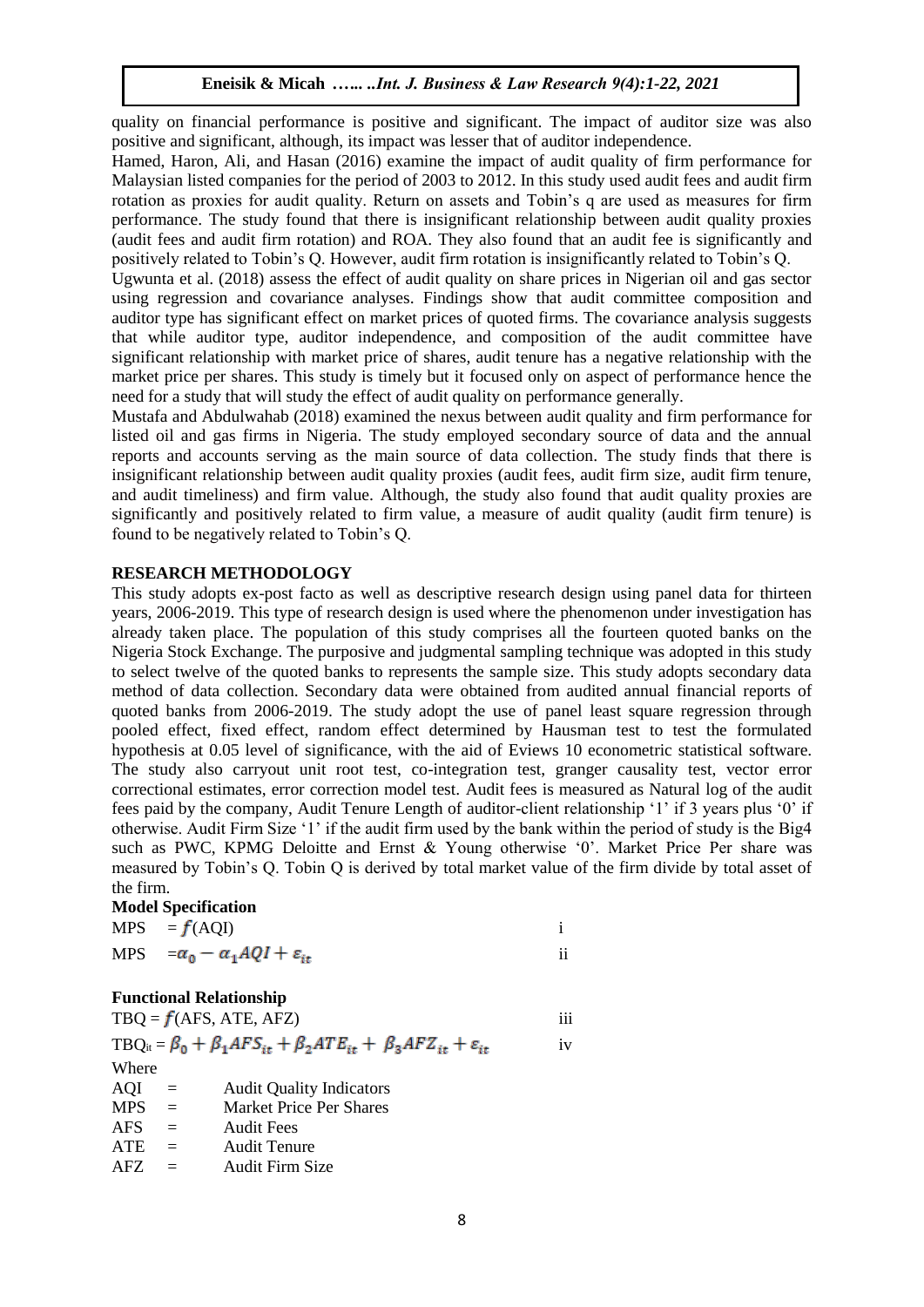quality on financial performance is positive and significant. The impact of auditor size was also positive and significant, although, its impact was lesser that of auditor independence.

Hamed, Haron, Ali, and Hasan (2016) examine the impact of audit quality of firm performance for Malaysian listed companies for the period of 2003 to 2012. In this study used audit fees and audit firm rotation as proxies for audit quality. Return on assets and Tobin's q are used as measures for firm performance. The study found that there is insignificant relationship between audit quality proxies (audit fees and audit firm rotation) and ROA. They also found that an audit fee is significantly and positively related to Tobin's Q. However, audit firm rotation is insignificantly related to Tobin's Q.

Ugwunta et al. (2018) assess the effect of audit quality on share prices in Nigerian oil and gas sector using regression and covariance analyses. Findings show that audit committee composition and auditor type has significant effect on market prices of quoted firms. The covariance analysis suggests that while auditor type, auditor independence, and composition of the audit committee have significant relationship with market price of shares, audit tenure has a negative relationship with the market price per shares. This study is timely but it focused only on aspect of performance hence the need for a study that will study the effect of audit quality on performance generally.

Mustafa and Abdulwahab (2018) examined the nexus between audit quality and firm performance for listed oil and gas firms in Nigeria. The study employed secondary source of data and the annual reports and accounts serving as the main source of data collection. The study finds that there is insignificant relationship between audit quality proxies (audit fees, audit firm size, audit firm tenure, and audit timeliness) and firm value. Although, the study also found that audit quality proxies are significantly and positively related to firm value, a measure of audit quality (audit firm tenure) is found to be negatively related to Tobin's Q.

## **RESEARCH METHODOLOGY**

This study adopts ex-post facto as well as descriptive research design using panel data for thirteen years, 2006-2019. This type of research design is used where the phenomenon under investigation has already taken place. The population of this study comprises all the fourteen quoted banks on the Nigeria Stock Exchange. The purposive and judgmental sampling technique was adopted in this study to select twelve of the quoted banks to represents the sample size. This study adopts secondary data method of data collection. Secondary data were obtained from audited annual financial reports of quoted banks from 2006-2019. The study adopt the use of panel least square regression through pooled effect, fixed effect, random effect determined by Hausman test to test the formulated hypothesis at 0.05 level of significance, with the aid of Eviews 10 econometric statistical software. The study also carryout unit root test, co-integration test, granger causality test, vector error correctional estimates, error correction model test. Audit fees is measured as Natural log of the audit fees paid by the company, Audit Tenure Length of auditor-client relationship '1' if 3 years plus '0' if otherwise. Audit Firm Size '1' if the audit firm used by the bank within the period of study is the Big4 such as PWC, KPMG Deloitte and Ernst & Young otherwise '0'. Market Price Per share was measured by Tobin's Q. Tobin Q is derived by total market value of the firm divide by total asset of the firm.

#### **Model Specification**

| $MPS = f(AQI)$                                    |     |
|---------------------------------------------------|-----|
| MPS $=\alpha_0 - \alpha_1 AQI + \varepsilon_{it}$ | . . |

#### **Functional Relationship**

|            |     | $TBQ = f(AFS, ATE, AFZ)$                                                                          | iii |
|------------|-----|---------------------------------------------------------------------------------------------------|-----|
|            |     | $TBQ_{it} = \beta_0 + \beta_1 AFS_{it} + \beta_2 ATE_{it} + \beta_3 A FZ_{it} + \varepsilon_{it}$ | iv  |
| Where      |     |                                                                                                   |     |
| AQI        | $=$ | <b>Audit Quality Indicators</b>                                                                   |     |
| <b>MPS</b> | $=$ | <b>Market Price Per Shares</b>                                                                    |     |
| <b>AFS</b> | $=$ | <b>Audit Fees</b>                                                                                 |     |
| <b>ATE</b> | $=$ | <b>Audit Tenure</b>                                                                               |     |
| AFZ.       |     | <b>Audit Firm Size</b>                                                                            |     |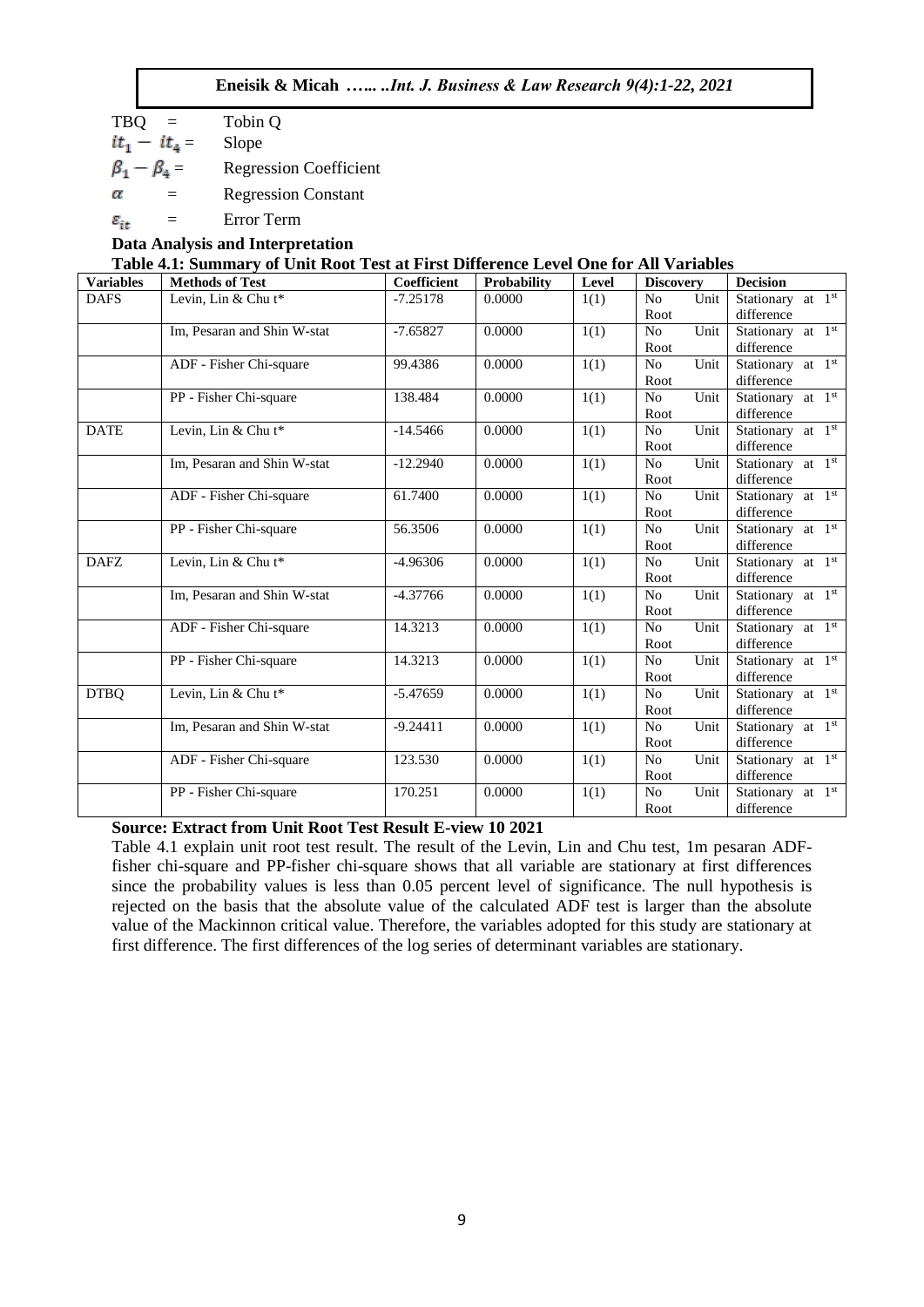| Eneisik & Micah  Int. J. Business & Law Research 9(4):1-22, 2021 |  |  |
|------------------------------------------------------------------|--|--|
|                                                                  |  |  |

 $TBO = \text{Tobin } Q$  $it_1 - it_4 =$  Slope  $\beta_1 - \beta_4 =$  Regression Coefficient  $\alpha$ = Regression Constant  $\varepsilon_{it}$  = Error Term

## **Data Analysis and Interpretation Table 4.1: Summary of Unit Root Test at First Difference Level One for All Variables**

| <b>Variables</b> | Table 5.1. Duning y of Chil Root Test at First Directive Level One for The Variables<br><b>Methods of Test</b> | Coefficient | Probability | Level | <b>Discovery</b>               | <b>Decision</b>                             |
|------------------|----------------------------------------------------------------------------------------------------------------|-------------|-------------|-------|--------------------------------|---------------------------------------------|
| <b>DAFS</b>      | Levin, Lin & Chu t*                                                                                            | $-7.25178$  | 0.0000      | 1(1)  | Unit<br>N <sub>o</sub><br>Root | Stationary at 1 <sup>st</sup><br>difference |
|                  | Im, Pesaran and Shin W-stat                                                                                    | $-7.65827$  | 0.0000      | 1(1)  | Unit<br>N <sub>o</sub><br>Root | Stationary at 1st<br>difference             |
|                  | ADF - Fisher Chi-square                                                                                        | 99.4386     | 0.0000      | 1(1)  | N <sub>o</sub><br>Unit<br>Root | Stationary at 1st<br>difference             |
|                  | PP - Fisher Chi-square                                                                                         | 138.484     | 0.0000      | 1(1)  | Unit<br>No<br>Root             | Stationary at 1 <sup>st</sup><br>difference |
| <b>DATE</b>      | Levin, Lin & Chu t*                                                                                            | $-14.5466$  | 0.0000      | 1(1)  | N <sub>o</sub><br>Unit<br>Root | Stationary at 1 <sup>st</sup><br>difference |
|                  | Im, Pesaran and Shin W-stat                                                                                    | $-12.2940$  | 0.0000      | 1(1)  | Unit<br>No<br>Root             | Stationary at $1st$<br>difference           |
|                  | ADF - Fisher Chi-square                                                                                        | 61.7400     | 0.0000      | 1(1)  | Unit<br>No<br>Root             | Stationary at 1 <sup>st</sup><br>difference |
|                  | PP - Fisher Chi-square                                                                                         | 56.3506     | 0.0000      | 1(1)  | Unit<br>N <sub>o</sub><br>Root | Stationary at 1 <sup>st</sup><br>difference |
| <b>DAFZ</b>      | Levin, Lin & Chu t*                                                                                            | $-4.96306$  | 0.0000      | 1(1)  | Unit<br>N <sub>o</sub><br>Root | Stationary at 1 <sup>st</sup><br>difference |
|                  | Im, Pesaran and Shin W-stat                                                                                    | $-4.37766$  | 0.0000      | 1(1)  | Unit<br>N <sub>o</sub><br>Root | Stationary at 1 <sup>st</sup><br>difference |
|                  | ADF - Fisher Chi-square                                                                                        | 14.3213     | 0.0000      | 1(1)  | Unit<br>No<br>Root             | Stationary at 1 <sup>st</sup><br>difference |
|                  | PP - Fisher Chi-square                                                                                         | 14.3213     | 0.0000      | 1(1)  | No<br>Unit<br>Root             | Stationary at 1st<br>difference             |
| <b>DTBQ</b>      | Levin, Lin & Chu t*                                                                                            | $-5.47659$  | 0.0000      | 1(1)  | Unit<br>N <sub>o</sub><br>Root | Stationary at 1st<br>difference             |
|                  | Im, Pesaran and Shin W-stat                                                                                    | $-9.24411$  | 0.0000      | 1(1)  | N <sub>o</sub><br>Unit<br>Root | Stationary at 1 <sup>st</sup><br>difference |
|                  | ADF - Fisher Chi-square                                                                                        | 123.530     | 0.0000      | 1(1)  | Unit<br>No<br>Root             | Stationary at 1 <sup>st</sup><br>difference |
|                  | PP - Fisher Chi-square                                                                                         | 170.251     | 0.0000      | 1(1)  | Unit<br>N <sub>o</sub><br>Root | Stationary at 1 <sup>st</sup><br>difference |

## **Source: Extract from Unit Root Test Result E-view 10 2021**

Table 4.1 explain unit root test result. The result of the Levin, Lin and Chu test, 1m pesaran ADFfisher chi-square and PP-fisher chi-square shows that all variable are stationary at first differences since the probability values is less than 0.05 percent level of significance. The null hypothesis is rejected on the basis that the absolute value of the calculated ADF test is larger than the absolute value of the Mackinnon critical value. Therefore, the variables adopted for this study are stationary at first difference. The first differences of the log series of determinant variables are stationary.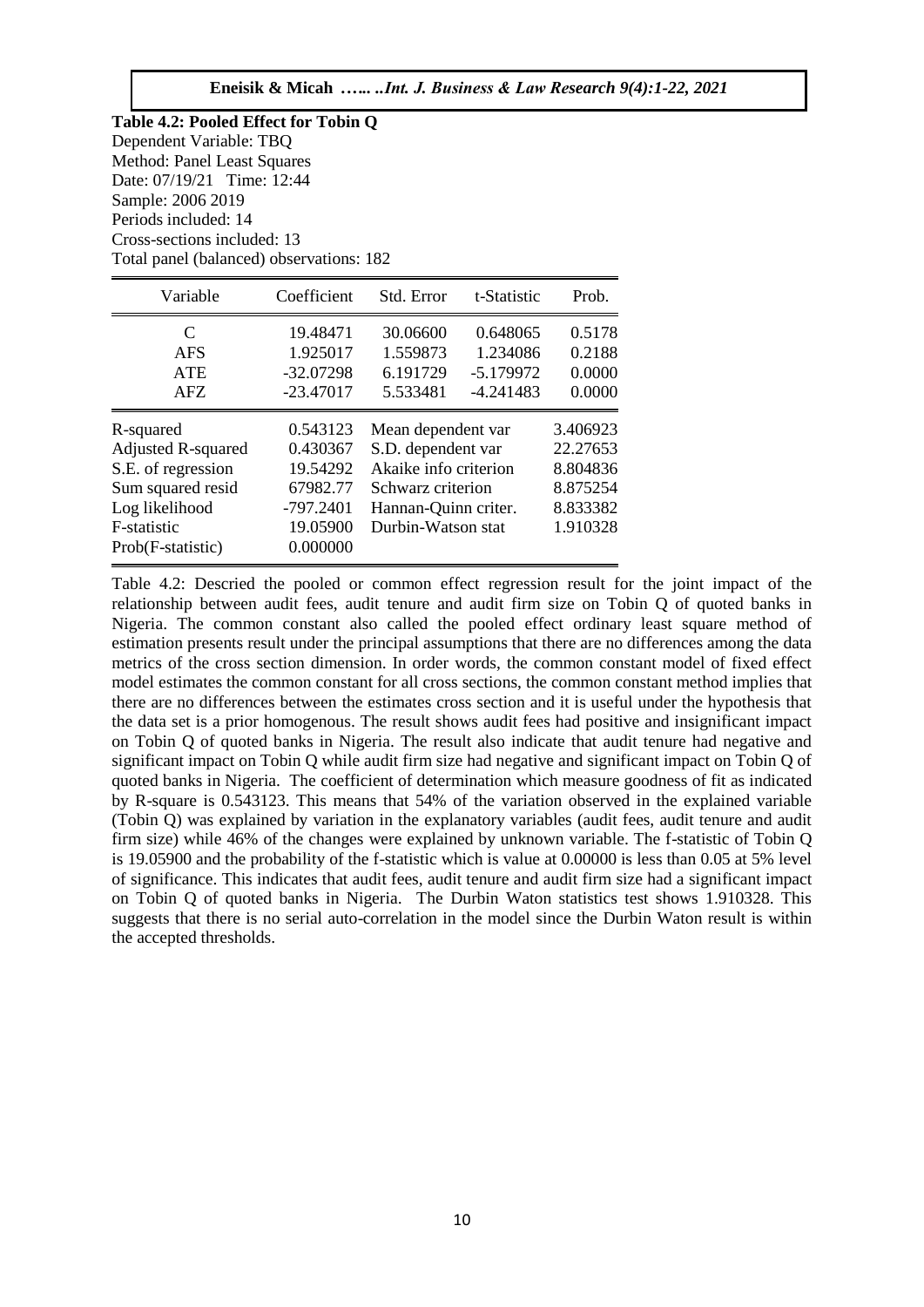| Table 4.2: Pooled Effect for Tobin Q     |  |  |  |  |  |
|------------------------------------------|--|--|--|--|--|
| Dependent Variable: TBQ                  |  |  |  |  |  |
| Method: Panel Least Squares              |  |  |  |  |  |
| Date: 07/19/21 Time: 12:44               |  |  |  |  |  |
| Sample: 2006 2019                        |  |  |  |  |  |
| Periods included: 14                     |  |  |  |  |  |
| Cross-sections included: 13              |  |  |  |  |  |
| Total panel (balanced) observations: 182 |  |  |  |  |  |

| Variable                                                             | Coefficient                         | Std. Error                                                       | t-Statistic                         | Prob.                            |
|----------------------------------------------------------------------|-------------------------------------|------------------------------------------------------------------|-------------------------------------|----------------------------------|
| C<br><b>AFS</b><br><b>ATE</b><br>AFZ.                                | 19.48471<br>1.925017<br>$-32.07298$ | 30.06600<br>1.559873<br>6.191729                                 | 0.648065<br>1.234086<br>$-5.179972$ | 0.5178<br>0.2188<br>0.0000       |
| R-squared                                                            | $-23.47017$<br>0.543123             | 5.533481<br>$-4.241483$<br>Mean dependent var                    |                                     | 0.0000<br>3.406923               |
| <b>Adjusted R-squared</b><br>S.E. of regression<br>Sum squared resid | 0.430367<br>19.54292<br>67982.77    | S.D. dependent var<br>Akaike info criterion<br>Schwarz criterion |                                     | 22.27653<br>8.804836<br>8.875254 |
| Log likelihood<br>F-statistic<br>Prob(F-statistic)                   | $-797.2401$<br>19.05900<br>0.000000 | Hannan-Quinn criter.<br>Durbin-Watson stat                       |                                     | 8.833382<br>1.910328             |

Table 4.2: Descried the pooled or common effect regression result for the joint impact of the relationship between audit fees, audit tenure and audit firm size on Tobin Q of quoted banks in Nigeria. The common constant also called the pooled effect ordinary least square method of estimation presents result under the principal assumptions that there are no differences among the data metrics of the cross section dimension. In order words, the common constant model of fixed effect model estimates the common constant for all cross sections, the common constant method implies that there are no differences between the estimates cross section and it is useful under the hypothesis that the data set is a prior homogenous. The result shows audit fees had positive and insignificant impact on Tobin Q of quoted banks in Nigeria. The result also indicate that audit tenure had negative and significant impact on Tobin Q while audit firm size had negative and significant impact on Tobin Q of quoted banks in Nigeria. The coefficient of determination which measure goodness of fit as indicated by R-square is 0.543123. This means that 54% of the variation observed in the explained variable (Tobin Q) was explained by variation in the explanatory variables (audit fees, audit tenure and audit firm size) while 46% of the changes were explained by unknown variable. The f-statistic of Tobin Q is 19.05900 and the probability of the f-statistic which is value at 0.00000 is less than 0.05 at 5% level of significance. This indicates that audit fees, audit tenure and audit firm size had a significant impact on Tobin Q of quoted banks in Nigeria. The Durbin Waton statistics test shows 1.910328. This suggests that there is no serial auto-correlation in the model since the Durbin Waton result is within the accepted thresholds.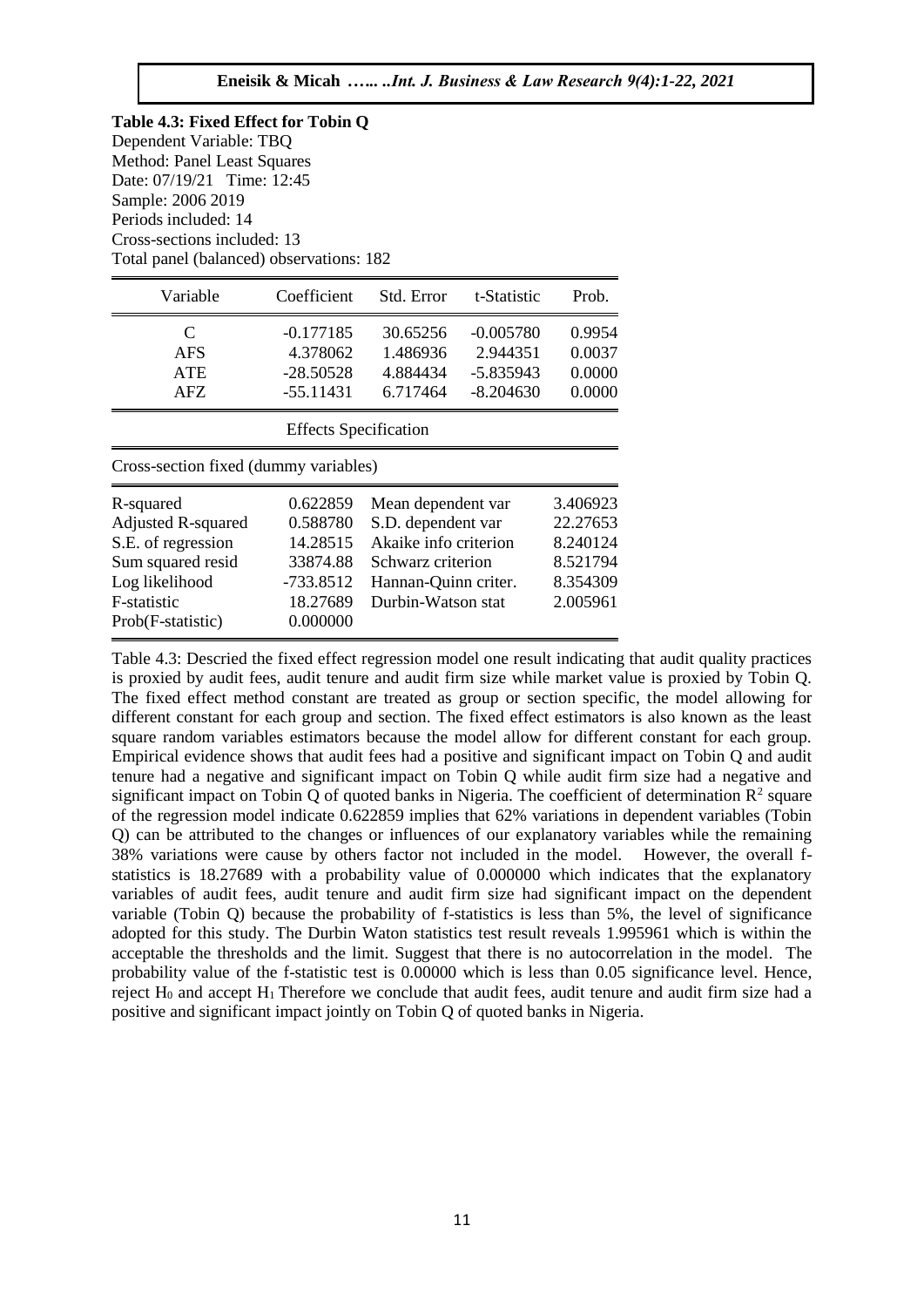Prob(F-statistic) 0.000000

| Variable                              | Coefficient                  | Std. Error            | t-Statistic | Prob.    |
|---------------------------------------|------------------------------|-----------------------|-------------|----------|
| C                                     | $-0.177185$                  | 30.65256              | $-0.005780$ | 0.9954   |
| <b>AFS</b>                            | 4.378062                     | 1.486936              | 2.944351    | 0.0037   |
| <b>ATE</b>                            | $-28.50528$                  | 4.884434              | $-5.835943$ | 0.0000   |
| AFZ                                   | $-55.11431$                  | 6.717464              | $-8.204630$ | 0.0000   |
|                                       | <b>Effects Specification</b> |                       |             |          |
| Cross-section fixed (dummy variables) |                              |                       |             |          |
| R-squared                             | 0.622859                     | Mean dependent var    |             | 3.406923 |
| <b>Adjusted R-squared</b>             | 0.588780                     | S.D. dependent var    |             | 22.27653 |
| S.E. of regression                    | 14.28515                     | Akaike info criterion |             | 8.240124 |
| Sum squared resid                     | 33874.88                     | Schwarz criterion     |             | 8.521794 |
| Log likelihood                        | -733.8512                    | Hannan-Quinn criter.  |             | 8.354309 |

F-statistic 18.27689 Durbin-Watson stat 2.005961

Table 4.3: Descried the fixed effect regression model one result indicating that audit quality practices is proxied by audit fees, audit tenure and audit firm size while market value is proxied by Tobin Q. The fixed effect method constant are treated as group or section specific, the model allowing for different constant for each group and section. The fixed effect estimators is also known as the least square random variables estimators because the model allow for different constant for each group. Empirical evidence shows that audit fees had a positive and significant impact on Tobin Q and audit tenure had a negative and significant impact on Tobin Q while audit firm size had a negative and significant impact on Tobin Q of quoted banks in Nigeria. The coefficient of determination  $\mathbb{R}^2$  square of the regression model indicate 0.622859 implies that 62% variations in dependent variables (Tobin Q) can be attributed to the changes or influences of our explanatory variables while the remaining 38% variations were cause by others factor not included in the model. However, the overall fstatistics is 18.27689 with a probability value of 0.000000 which indicates that the explanatory variables of audit fees, audit tenure and audit firm size had significant impact on the dependent variable (Tobin Q) because the probability of f-statistics is less than 5%, the level of significance adopted for this study. The Durbin Waton statistics test result reveals 1.995961 which is within the acceptable the thresholds and the limit. Suggest that there is no autocorrelation in the model. The probability value of the f-statistic test is 0.00000 which is less than 0.05 significance level. Hence, reject  $H_0$  and accept  $H_1$  Therefore we conclude that audit fees, audit tenure and audit firm size had a positive and significant impact jointly on Tobin Q of quoted banks in Nigeria.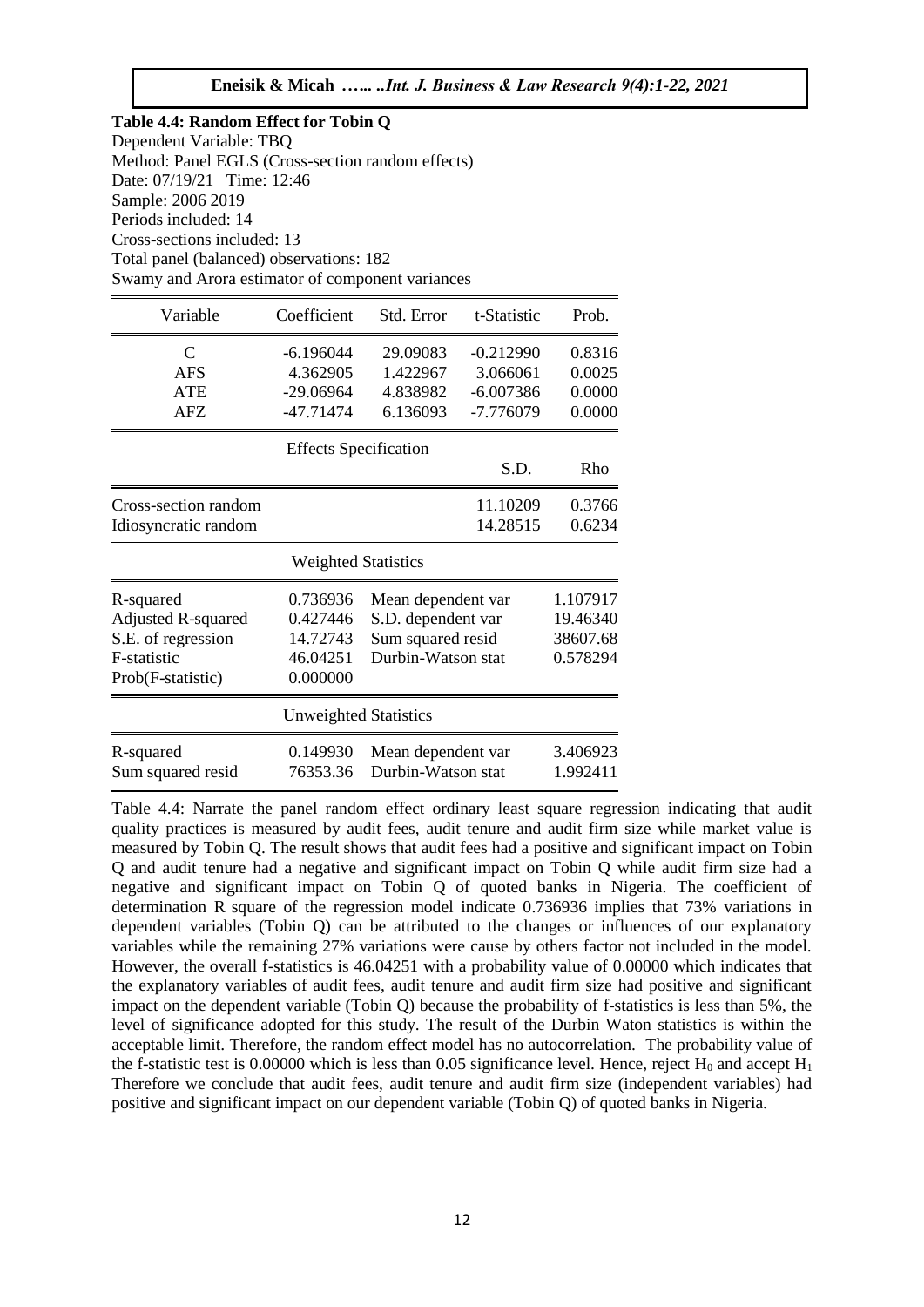**Table 4.4: Random Effect for Tobin Q**  Dependent Variable: TBQ Method: Panel EGLS (Cross-section random effects) Date: 07/19/21 Time: 12:46 Sample: 2006 2019 Periods included: 14 Cross-sections included: 13 Total panel (balanced) observations: 182 Swamy and Arora estimator of component variances

| Variable                  | Coefficient                  | Std. Error         | t-Statistic | Prob.    |
|---------------------------|------------------------------|--------------------|-------------|----------|
| $\mathbf C$               | $-6.196044$                  | 29.09083           | $-0.212990$ | 0.8316   |
| <b>AFS</b>                | 4.362905                     | 1.422967           | 3.066061    | 0.0025   |
| <b>ATE</b>                | $-29.06964$                  | 4.838982           | $-6.007386$ | 0.0000   |
| <b>AFZ</b>                | $-47.71474$                  | 6.136093           | -7.776079   | 0.0000   |
|                           | <b>Effects Specification</b> |                    |             |          |
|                           |                              |                    | S.D.        | Rho      |
| Cross-section random      |                              |                    | 11.10209    | 0.3766   |
| Idiosyncratic random      |                              |                    | 14.28515    | 0.6234   |
|                           | <b>Weighted Statistics</b>   |                    |             |          |
| R-squared                 | 0.736936                     | Mean dependent var |             | 1.107917 |
| <b>Adjusted R-squared</b> | 0.427446                     | S.D. dependent var |             | 19.46340 |
| S.E. of regression        | 14.72743                     | Sum squared resid  |             | 38607.68 |
| F-statistic               | 46.04251                     | Durbin-Watson stat |             | 0.578294 |
| Prob(F-statistic)         | 0.000000                     |                    |             |          |
|                           | <b>Unweighted Statistics</b> |                    |             |          |
| R-squared                 | 0.149930                     | Mean dependent var |             | 3.406923 |
| Sum squared resid         | 76353.36                     | Durbin-Watson stat |             | 1.992411 |

Table 4.4: Narrate the panel random effect ordinary least square regression indicating that audit quality practices is measured by audit fees, audit tenure and audit firm size while market value is measured by Tobin Q. The result shows that audit fees had a positive and significant impact on Tobin Q and audit tenure had a negative and significant impact on Tobin Q while audit firm size had a negative and significant impact on Tobin Q of quoted banks in Nigeria. The coefficient of determination R square of the regression model indicate 0.736936 implies that 73% variations in dependent variables (Tobin Q) can be attributed to the changes or influences of our explanatory variables while the remaining 27% variations were cause by others factor not included in the model. However, the overall f-statistics is 46.04251 with a probability value of 0.00000 which indicates that the explanatory variables of audit fees, audit tenure and audit firm size had positive and significant impact on the dependent variable (Tobin Q) because the probability of f-statistics is less than 5%, the level of significance adopted for this study. The result of the Durbin Waton statistics is within the acceptable limit. Therefore, the random effect model has no autocorrelation. The probability value of the f-statistic test is 0.00000 which is less than 0.05 significance level. Hence, reject  $H_0$  and accept  $H_1$ Therefore we conclude that audit fees, audit tenure and audit firm size (independent variables) had positive and significant impact on our dependent variable (Tobin Q) of quoted banks in Nigeria.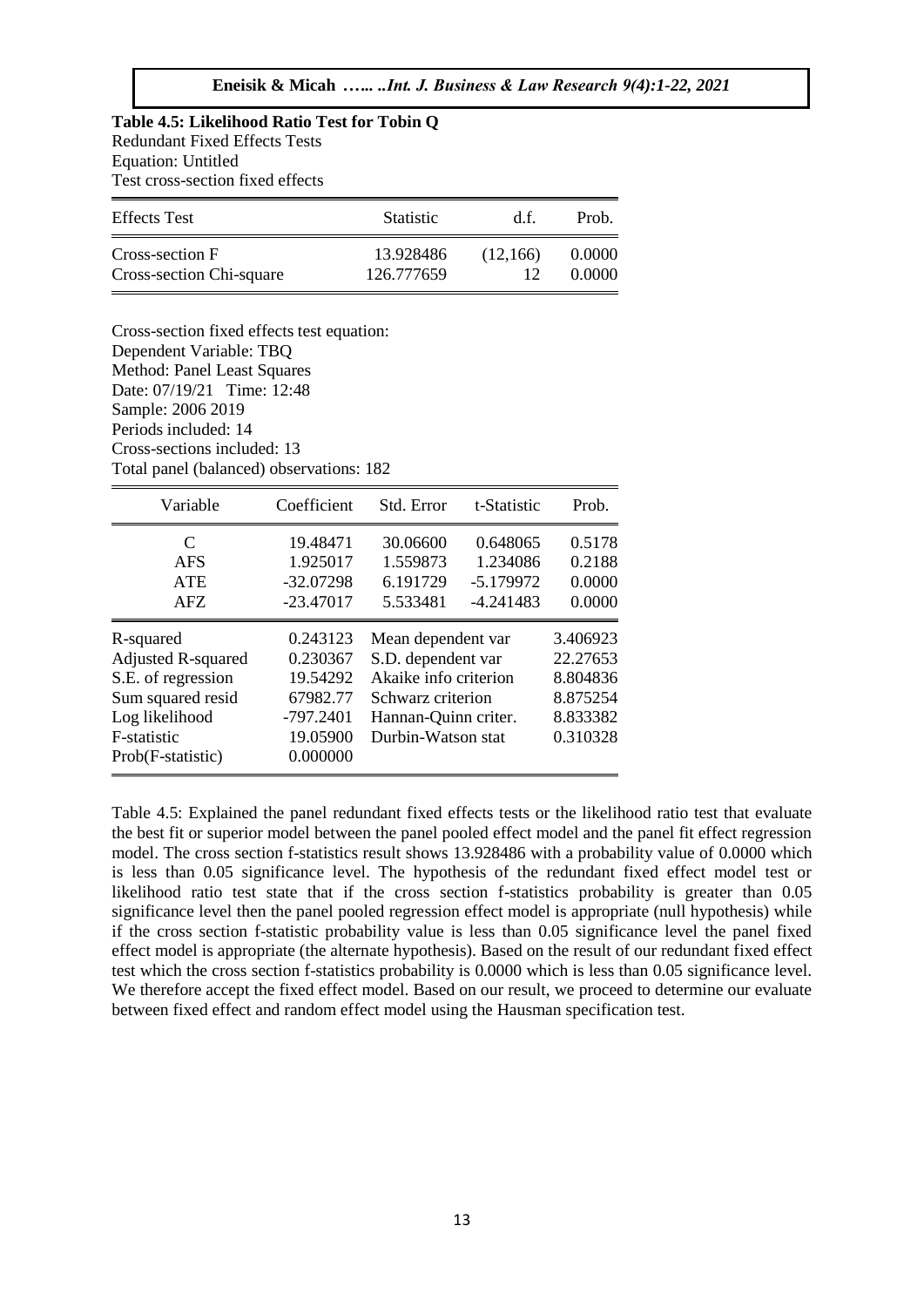**Table 4.5: Likelihood Ratio Test for Tobin Q**  Redundant Fixed Effects Tests Equation: Untitled Test cross-section fixed effects

| <b>Effects</b> Test      | <b>Statistic</b> | d f      | Prob.  |
|--------------------------|------------------|----------|--------|
| Cross-section F          | 13.928486        | (12.166) | 0.0000 |
| Cross-section Chi-square | 126.777659       |          | 0.0000 |

Cross-section fixed effects test equation: Dependent Variable: TBQ Method: Panel Least Squares Date: 07/19/21 Time: 12:48 Sample: 2006 2019 Periods included: 14 Cross-sections included: 13 Total panel (balanced) observations: 182

| Variable                                                                                                                         | Coefficient                                                                         | Std. Error                                                                                                                           | t-Statistic                                        | Prob.                                                                |
|----------------------------------------------------------------------------------------------------------------------------------|-------------------------------------------------------------------------------------|--------------------------------------------------------------------------------------------------------------------------------------|----------------------------------------------------|----------------------------------------------------------------------|
| C<br><b>AFS</b><br><b>ATE</b><br>AFZ                                                                                             | 19.48471<br>1.925017<br>$-32.07298$<br>$-23.47017$                                  | 30.06600<br>1.559873<br>6.191729<br>5.533481                                                                                         | 0.648065<br>1.234086<br>$-5.179972$<br>$-4.241483$ | 0.5178<br>0.2188<br>0.0000<br>0.0000                                 |
| R-squared<br>Adjusted R-squared<br>S.E. of regression<br>Sum squared resid<br>Log likelihood<br>F-statistic<br>Prob(F-statistic) | 0.243123<br>0.230367<br>19.54292<br>67982.77<br>$-797.2401$<br>19.05900<br>0.000000 | Mean dependent var<br>S.D. dependent var<br>Akaike info criterion<br>Schwarz criterion<br>Hannan-Quinn criter.<br>Durbin-Watson stat |                                                    | 3.406923<br>22.27653<br>8.804836<br>8.875254<br>8.833382<br>0.310328 |

Table 4.5: Explained the panel redundant fixed effects tests or the likelihood ratio test that evaluate the best fit or superior model between the panel pooled effect model and the panel fit effect regression model. The cross section f-statistics result shows 13.928486 with a probability value of 0.0000 which is less than 0.05 significance level. The hypothesis of the redundant fixed effect model test or likelihood ratio test state that if the cross section f-statistics probability is greater than 0.05 significance level then the panel pooled regression effect model is appropriate (null hypothesis) while if the cross section f-statistic probability value is less than 0.05 significance level the panel fixed effect model is appropriate (the alternate hypothesis). Based on the result of our redundant fixed effect test which the cross section f-statistics probability is 0.0000 which is less than 0.05 significance level. We therefore accept the fixed effect model. Based on our result, we proceed to determine our evaluate between fixed effect and random effect model using the Hausman specification test.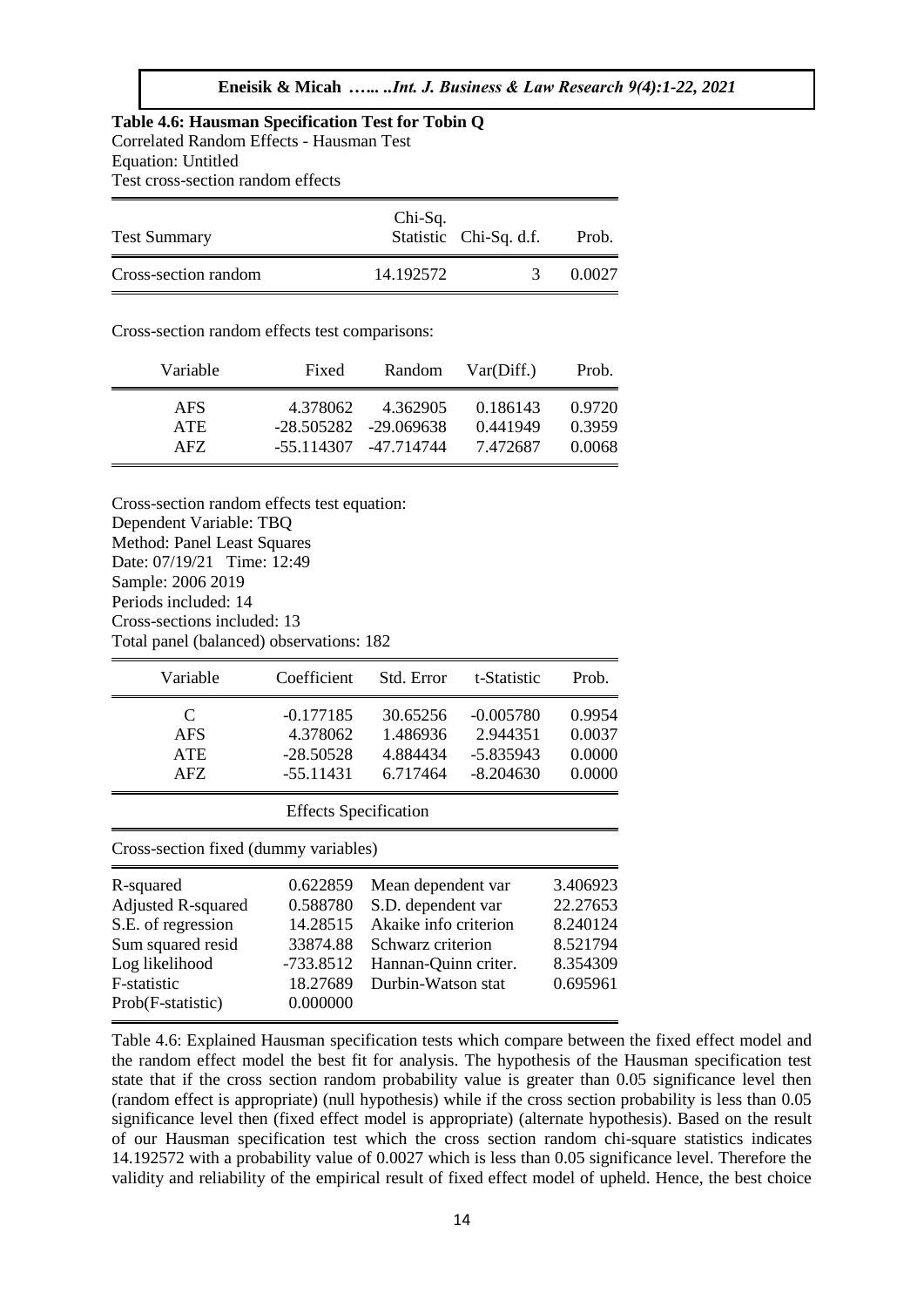## **Table 4.6: Hausman Specification Test for Tobin Q**  Correlated Random Effects - Hausman Test Equation: Untitled

Test cross-section random effects

| <b>Test Summary</b>  | Chi-Sq.   | Statistic Chi-Sq. d.f. | Prob.  |
|----------------------|-----------|------------------------|--------|
| Cross-section random | 14.192572 |                        | 0.0027 |

Cross-section random effects test comparisons:

| Variable   | Fixed    | Random                   | Var(Diff.) | Prob.  |
|------------|----------|--------------------------|------------|--------|
| <b>AFS</b> | 4.378062 | 4.362905                 | 0.186143   | 0.9720 |
| ATE        |          | $-28.505282 - 29.069638$ | 0.441949   | 0.3959 |
| AFZ.       |          | -55.114307 -47.714744    | 7.472687   | 0.0068 |

Cross-section random effects test equation: Dependent Variable: TBQ Method: Panel Least Squares Date: 07/19/21 Time: 12:49 Sample: 2006 2019 Periods included: 14 Cross-sections included: 13 Total panel (balanced) observations: 182

| Variable                                                                                 | Coefficient                            | Std. Error                       | t-Statistic                            | Prob.                      |  |  |
|------------------------------------------------------------------------------------------|----------------------------------------|----------------------------------|----------------------------------------|----------------------------|--|--|
| C<br>AFS<br><b>ATE</b>                                                                   | $-0.177185$<br>4.378062<br>$-28.50528$ | 30.65256<br>1.486936<br>4.884434 | $-0.005780$<br>2.944351<br>$-5.835943$ | 0.9954<br>0.0037<br>0.0000 |  |  |
| $-55.11431$<br>6.717464<br>$-8.204630$<br>0.0000<br>AFZ.<br><b>Effects</b> Specification |                                        |                                  |                                        |                            |  |  |
| Cross-section fixed (dummy variables)                                                    |                                        |                                  |                                        |                            |  |  |
| R-squared                                                                                | 0.622859                               | Mean dependent var               |                                        | 3.406923                   |  |  |
| <b>Adjusted R-squared</b>                                                                | 0.588780                               | S.D. dependent var               |                                        | 22.27653                   |  |  |
| S.E. of regression                                                                       | 14.28515                               | Akaike info criterion            |                                        | 8.240124                   |  |  |
| Sum squared resid                                                                        | 33874.88                               | Schwarz criterion                |                                        | 8.521794                   |  |  |
| Log likelihood                                                                           | -733.8512                              | Hannan-Quinn criter.             |                                        | 8.354309                   |  |  |
| <b>F</b> -statistic                                                                      | 18.27689                               | Durbin-Watson stat               |                                        | 0.695961                   |  |  |
| Prob(F-statistic)                                                                        | 0.000000                               |                                  |                                        |                            |  |  |

Table 4.6: Explained Hausman specification tests which compare between the fixed effect model and the random effect model the best fit for analysis. The hypothesis of the Hausman specification test state that if the cross section random probability value is greater than 0.05 significance level then (random effect is appropriate) (null hypothesis) while if the cross section probability is less than 0.05 significance level then (fixed effect model is appropriate) (alternate hypothesis). Based on the result of our Hausman specification test which the cross section random chi-square statistics indicates 14.192572 with a probability value of 0.0027 which is less than 0.05 significance level. Therefore the validity and reliability of the empirical result of fixed effect model of upheld. Hence, the best choice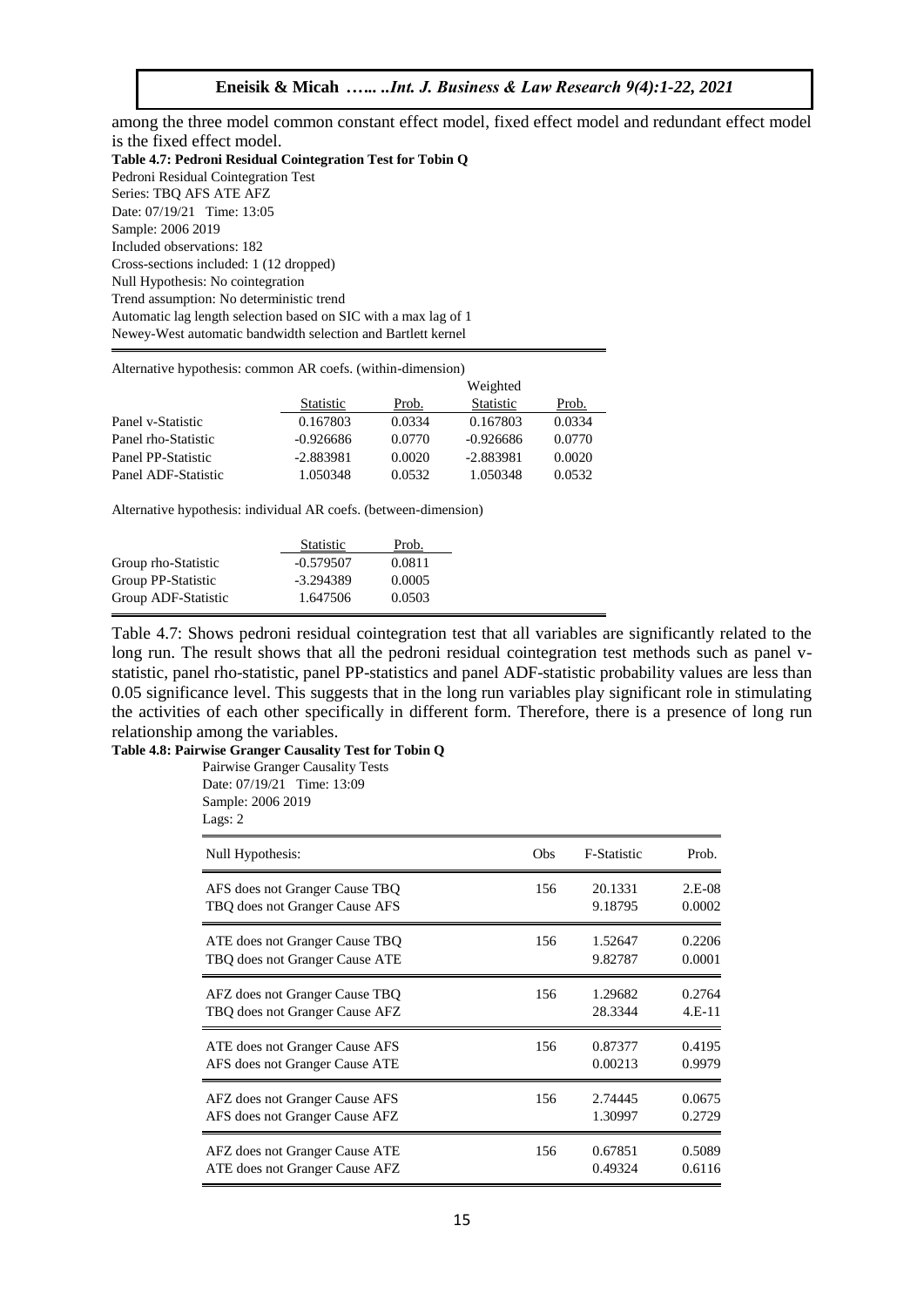among the three model common constant effect model, fixed effect model and redundant effect model is the fixed effect model. **Table 4.7: Pedroni Residual Cointegration Test for Tobin Q**  Pedroni Residual Cointegration Test Series: TBQ AFS ATE AFZ Date: 07/19/21 Time: 13:05 Sample: 2006 2019 Included observations: 182 Cross-sections included: 1 (12 dropped) Null Hypothesis: No cointegration Trend assumption: No deterministic trend Automatic lag length selection based on SIC with a max lag of 1 Newey-West automatic bandwidth selection and Bartlett kernel

Alternative hypothesis: common AR coefs. (within-dimension)

|                     |                  | Weighted |                  |        |
|---------------------|------------------|----------|------------------|--------|
|                     | <b>Statistic</b> | Prob.    | <b>Statistic</b> | Prob.  |
| Panel v-Statistic   | 0.167803         | 0.0334   | 0.167803         | 0.0334 |
| Panel rho-Statistic | $-0.926686$      | 0.0770   | $-0.926686$      | 0.0770 |
| Panel PP-Statistic  | -2.883981        | 0.0020   | -2.883981        | 0.0020 |
| Panel ADF-Statistic | 1.050348         | 0.0532   | 1.050348         | 0.0532 |

Alternative hypothesis: individual AR coefs. (between-dimension)

|                     | Statistic   | Prob.  |  |
|---------------------|-------------|--------|--|
| Group rho-Statistic | $-0.579507$ | 0.0811 |  |
| Group PP-Statistic  | $-3.294389$ | 0.0005 |  |
| Group ADF-Statistic | 1.647506    | 0.0503 |  |

Table 4.7: Shows pedroni residual cointegration test that all variables are significantly related to the long run. The result shows that all the pedroni residual cointegration test methods such as panel vstatistic, panel rho-statistic, panel PP-statistics and panel ADF-statistic probability values are less than 0.05 significance level. This suggests that in the long run variables play significant role in stimulating the activities of each other specifically in different form. Therefore, there is a presence of long run relationship among the variables.

## **Table 4.8: Pairwise Granger Causality Test for Tobin Q**

Pairwise Granger Causality Tests Date: 07/19/21 Time: 13:09

Sample: 2006 2019 Lags: 2

| Null Hypothesis:               | <b>Obs</b> | <b>F-Statistic</b> | Prob.    |
|--------------------------------|------------|--------------------|----------|
| AFS does not Granger Cause TBQ | 156        | 20.1331            | $2.E-08$ |
| TBQ does not Granger Cause AFS |            | 9.18795            | 0.0002   |
| ATE does not Granger Cause TBQ | 156        | 1.52647            | 0.2206   |
| TBQ does not Granger Cause ATE |            | 9.82787            | 0.0001   |
| AFZ does not Granger Cause TBQ | 156        | 1.29682            | 0.2764   |
| TBQ does not Granger Cause AFZ |            | 28.3344            | $4.E-11$ |
| ATE does not Granger Cause AFS | 156        | 0.87377            | 0.4195   |
| AFS does not Granger Cause ATE |            | 0.00213            | 0.9979   |
| AFZ does not Granger Cause AFS | 156        | 2.74445            | 0.0675   |
| AFS does not Granger Cause AFZ |            | 1.30997            | 0.2729   |
| AFZ does not Granger Cause ATE | 156        | 0.67851            | 0.5089   |
| ATE does not Granger Cause AFZ |            | 0.49324            | 0.6116   |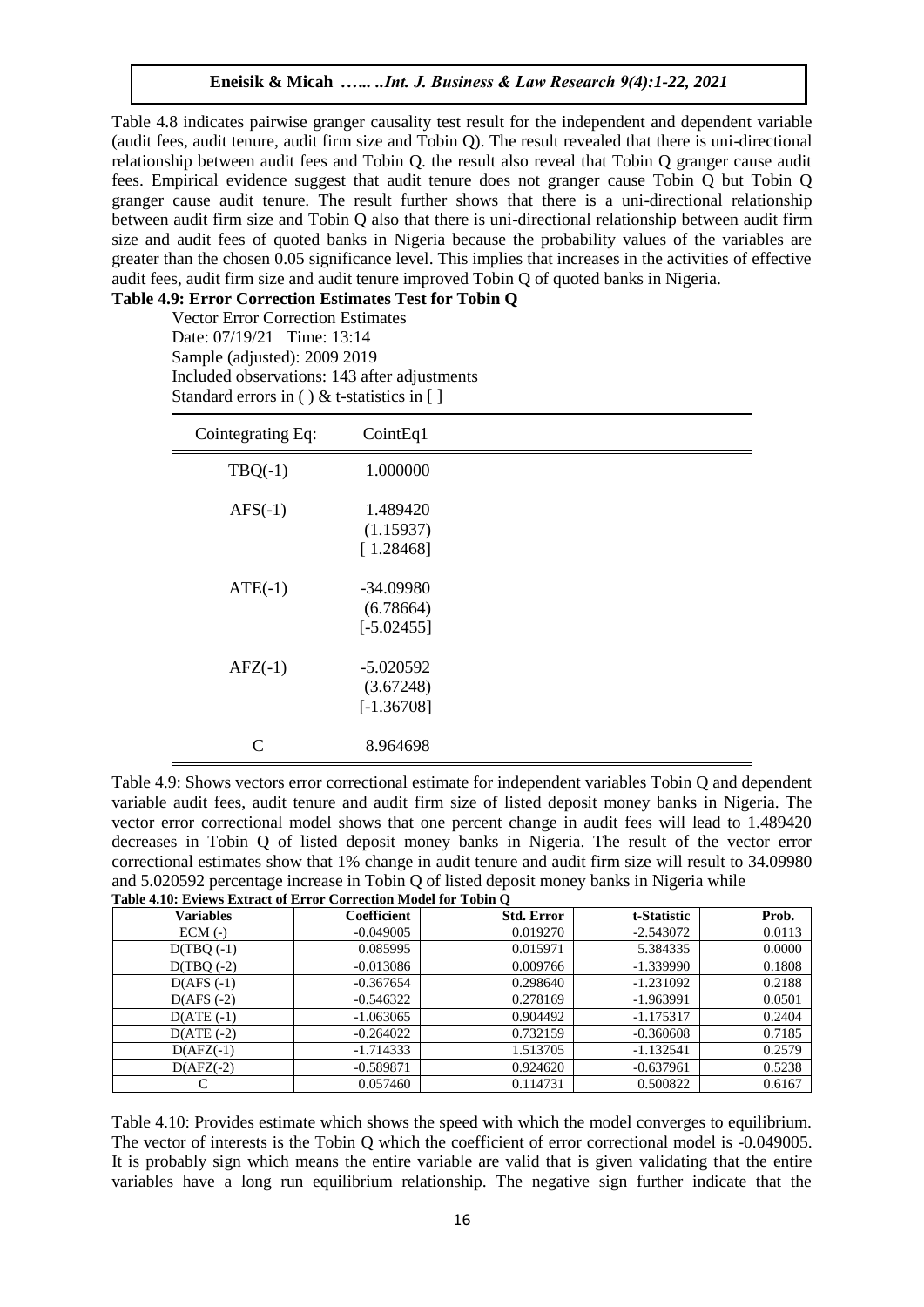Table 4.8 indicates pairwise granger causality test result for the independent and dependent variable (audit fees, audit tenure, audit firm size and Tobin Q). The result revealed that there is uni-directional relationship between audit fees and Tobin Q. the result also reveal that Tobin Q granger cause audit fees. Empirical evidence suggest that audit tenure does not granger cause Tobin Q but Tobin Q granger cause audit tenure. The result further shows that there is a uni-directional relationship between audit firm size and Tobin Q also that there is uni-directional relationship between audit firm size and audit fees of quoted banks in Nigeria because the probability values of the variables are greater than the chosen 0.05 significance level. This implies that increases in the activities of effective audit fees, audit firm size and audit tenure improved Tobin Q of quoted banks in Nigeria.

# **Table 4.9: Error Correction Estimates Test for Tobin Q**

Vector Error Correction Estimates Date: 07/19/21 Time: 13:14 Sample (adjusted): 2009 2019 Included observations: 143 after adjustments Standard errors in ( ) & t-statistics in  $[ ]$ 

| Cointegrating Eq: | CointEq1                                 |  |
|-------------------|------------------------------------------|--|
| $TBQ(-1)$         | 1.000000                                 |  |
| $AFS(-1)$         | 1.489420<br>(1.15937)<br>[1.28468]       |  |
| $ATE(-1)$         | $-34.09980$<br>(6.78664)<br>$[-5.02455]$ |  |
| $AFZ(-1)$         | $-5.020592$<br>(3.67248)<br>$[-1.36708]$ |  |
| $\mathcal{C}$     | 8.964698                                 |  |

Table 4.9: Shows vectors error correctional estimate for independent variables Tobin Q and dependent variable audit fees, audit tenure and audit firm size of listed deposit money banks in Nigeria. The vector error correctional model shows that one percent change in audit fees will lead to 1.489420 decreases in Tobin Q of listed deposit money banks in Nigeria. The result of the vector error correctional estimates show that 1% change in audit tenure and audit firm size will result to 34.09980 and 5.020592 percentage increase in Tobin Q of listed deposit money banks in Nigeria while **Table 4.10: Eviews Extract of Error Correction Model for Tobin Q** 

| <b>Variables</b> | <b>Coefficient</b> | <b>Std. Error</b> | t-Statistic | Prob.  |
|------------------|--------------------|-------------------|-------------|--------|
| $ECM$ (-)        | $-0.049005$        | 0.019270          | $-2.543072$ | 0.0113 |
| $D(TBO(-1))$     | 0.085995           | 0.015971          | 5.384335    | 0.0000 |
| $D(TBQ(-2))$     | $-0.013086$        | 0.009766          | $-1.339990$ | 0.1808 |
| $D(AFS(-1))$     | $-0.367654$        | 0.298640          | $-1.231092$ | 0.2188 |
| $D(AFS (-2))$    | $-0.546322$        | 0.278169          | $-1.963991$ | 0.0501 |
| $D(ATE(-1))$     | $-1.063065$        | 0.904492          | $-1.175317$ | 0.2404 |
| $D(ATE (-2))$    | $-0.264022$        | 0.732159          | $-0.360608$ | 0.7185 |
| $D(AFZ(-1))$     | $-1.714333$        | 1.513705          | $-1.132541$ | 0.2579 |
| $D(AFZ(-2))$     | $-0.589871$        | 0.924620          | $-0.637961$ | 0.5238 |
|                  | 0.057460           | 0.114731          | 0.500822    | 0.6167 |

Table 4.10: Provides estimate which shows the speed with which the model converges to equilibrium. The vector of interests is the Tobin Q which the coefficient of error correctional model is -0.049005. It is probably sign which means the entire variable are valid that is given validating that the entire variables have a long run equilibrium relationship. The negative sign further indicate that the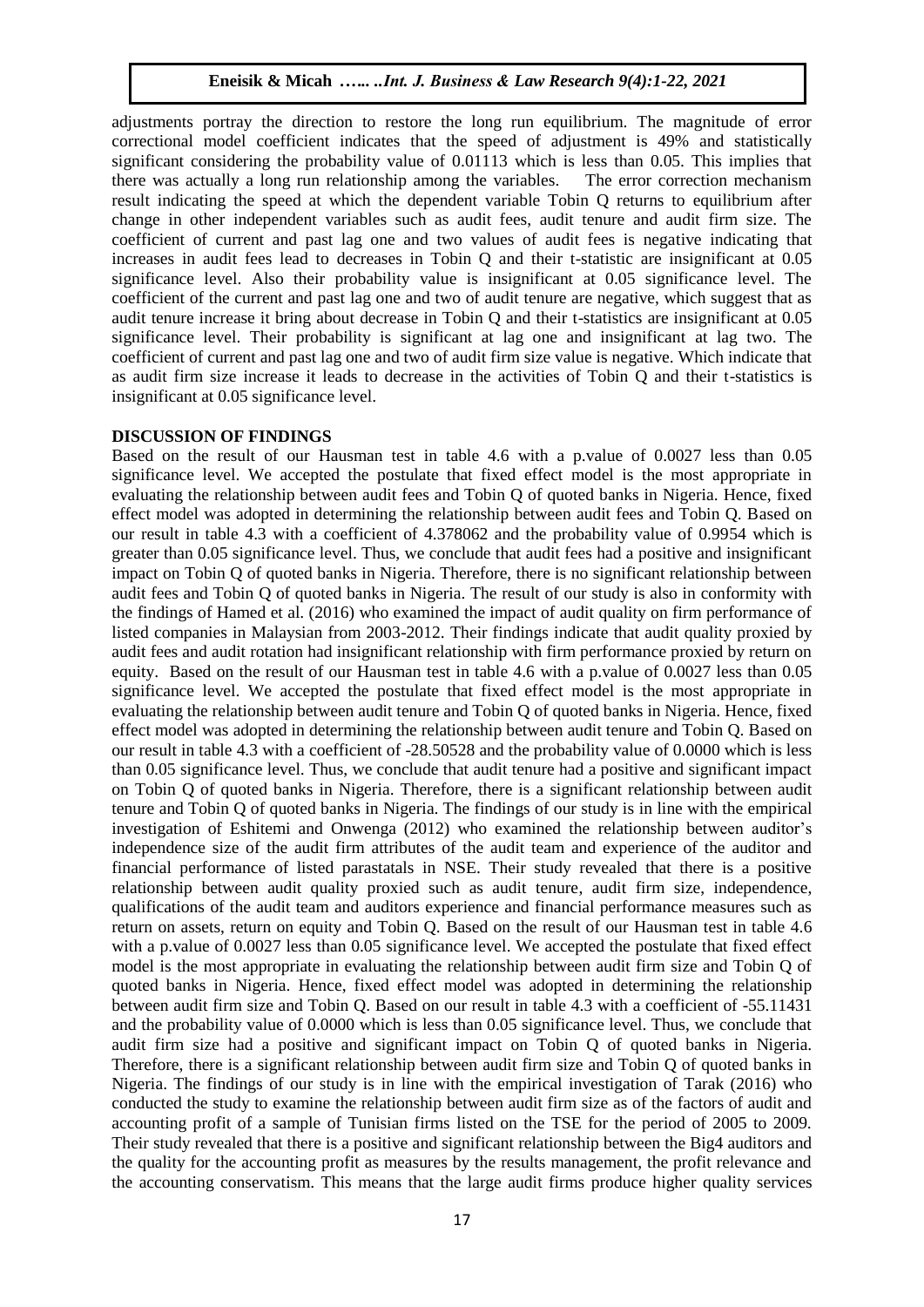adjustments portray the direction to restore the long run equilibrium. The magnitude of error correctional model coefficient indicates that the speed of adjustment is 49% and statistically significant considering the probability value of 0.01113 which is less than 0.05. This implies that there was actually a long run relationship among the variables. The error correction mechanism result indicating the speed at which the dependent variable Tobin Q returns to equilibrium after change in other independent variables such as audit fees, audit tenure and audit firm size. The coefficient of current and past lag one and two values of audit fees is negative indicating that increases in audit fees lead to decreases in Tobin Q and their t-statistic are insignificant at 0.05 significance level. Also their probability value is insignificant at 0.05 significance level. The coefficient of the current and past lag one and two of audit tenure are negative, which suggest that as audit tenure increase it bring about decrease in Tobin Q and their t-statistics are insignificant at 0.05 significance level. Their probability is significant at lag one and insignificant at lag two. The coefficient of current and past lag one and two of audit firm size value is negative. Which indicate that as audit firm size increase it leads to decrease in the activities of Tobin Q and their t-statistics is insignificant at 0.05 significance level.

#### **DISCUSSION OF FINDINGS**

Based on the result of our Hausman test in table 4.6 with a p.value of 0.0027 less than 0.05 significance level. We accepted the postulate that fixed effect model is the most appropriate in evaluating the relationship between audit fees and Tobin Q of quoted banks in Nigeria. Hence, fixed effect model was adopted in determining the relationship between audit fees and Tobin Q. Based on our result in table 4.3 with a coefficient of 4.378062 and the probability value of 0.9954 which is greater than 0.05 significance level. Thus, we conclude that audit fees had a positive and insignificant impact on Tobin Q of quoted banks in Nigeria. Therefore, there is no significant relationship between audit fees and Tobin Q of quoted banks in Nigeria. The result of our study is also in conformity with the findings of Hamed et al. (2016) who examined the impact of audit quality on firm performance of listed companies in Malaysian from 2003-2012. Their findings indicate that audit quality proxied by audit fees and audit rotation had insignificant relationship with firm performance proxied by return on equity. Based on the result of our Hausman test in table 4.6 with a p.value of 0.0027 less than 0.05 significance level. We accepted the postulate that fixed effect model is the most appropriate in evaluating the relationship between audit tenure and Tobin Q of quoted banks in Nigeria. Hence, fixed effect model was adopted in determining the relationship between audit tenure and Tobin Q. Based on our result in table 4.3 with a coefficient of -28.50528 and the probability value of 0.0000 which is less than 0.05 significance level. Thus, we conclude that audit tenure had a positive and significant impact on Tobin Q of quoted banks in Nigeria. Therefore, there is a significant relationship between audit tenure and Tobin Q of quoted banks in Nigeria. The findings of our study is in line with the empirical investigation of Eshitemi and Onwenga (2012) who examined the relationship between auditor's independence size of the audit firm attributes of the audit team and experience of the auditor and financial performance of listed parastatals in NSE. Their study revealed that there is a positive relationship between audit quality proxied such as audit tenure, audit firm size, independence, qualifications of the audit team and auditors experience and financial performance measures such as return on assets, return on equity and Tobin Q. Based on the result of our Hausman test in table 4.6 with a p.value of 0.0027 less than 0.05 significance level. We accepted the postulate that fixed effect model is the most appropriate in evaluating the relationship between audit firm size and Tobin Q of quoted banks in Nigeria. Hence, fixed effect model was adopted in determining the relationship between audit firm size and Tobin Q. Based on our result in table 4.3 with a coefficient of -55.11431 and the probability value of 0.0000 which is less than 0.05 significance level. Thus, we conclude that audit firm size had a positive and significant impact on Tobin Q of quoted banks in Nigeria. Therefore, there is a significant relationship between audit firm size and Tobin Q of quoted banks in Nigeria. The findings of our study is in line with the empirical investigation of Tarak (2016) who conducted the study to examine the relationship between audit firm size as of the factors of audit and accounting profit of a sample of Tunisian firms listed on the TSE for the period of 2005 to 2009. Their study revealed that there is a positive and significant relationship between the Big4 auditors and the quality for the accounting profit as measures by the results management, the profit relevance and the accounting conservatism. This means that the large audit firms produce higher quality services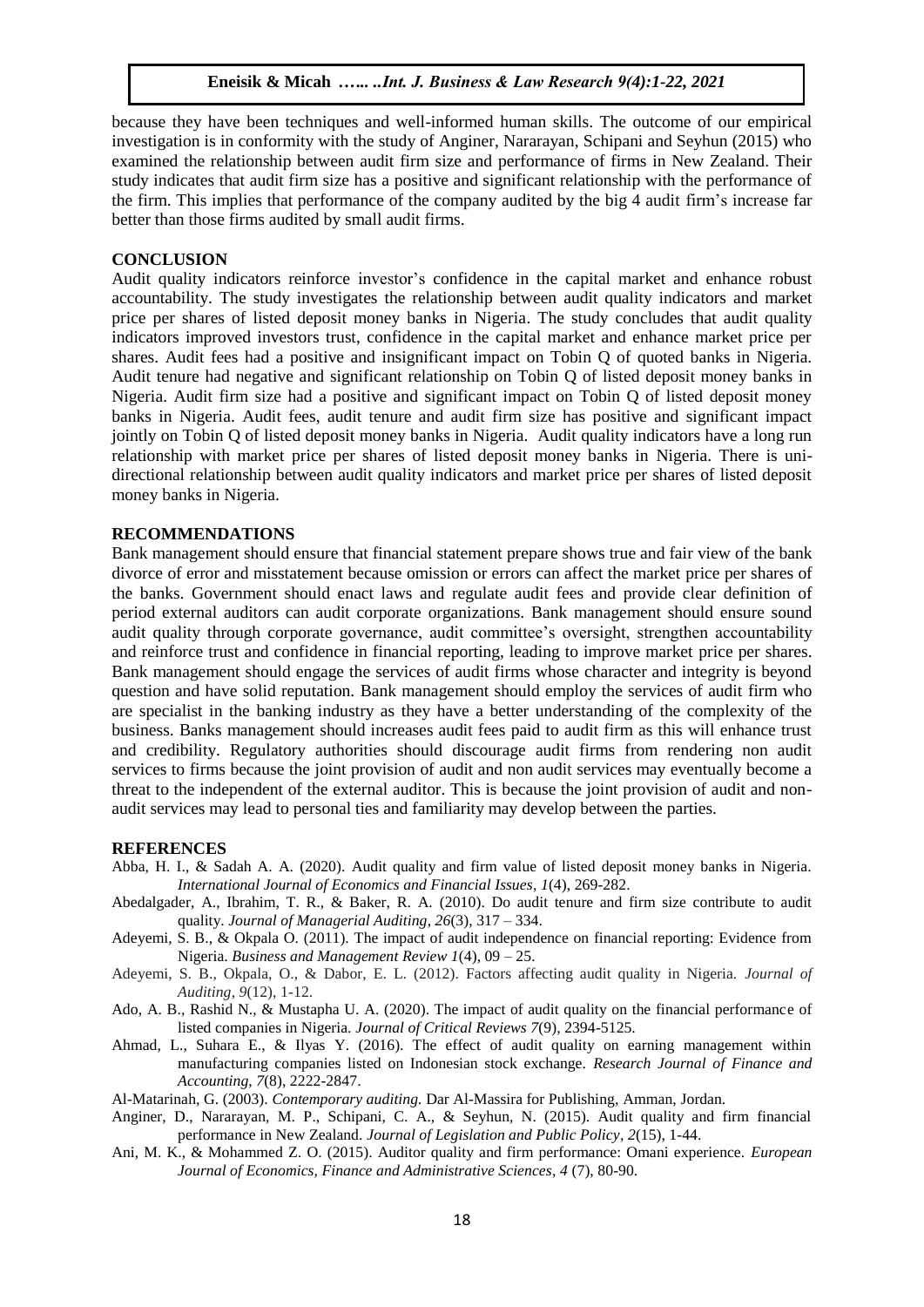because they have been techniques and well-informed human skills. The outcome of our empirical investigation is in conformity with the study of Anginer, Nararayan, Schipani and Seyhun (2015) who examined the relationship between audit firm size and performance of firms in New Zealand. Their study indicates that audit firm size has a positive and significant relationship with the performance of the firm. This implies that performance of the company audited by the big 4 audit firm's increase far better than those firms audited by small audit firms.

## **CONCLUSION**

Audit quality indicators reinforce investor's confidence in the capital market and enhance robust accountability. The study investigates the relationship between audit quality indicators and market price per shares of listed deposit money banks in Nigeria. The study concludes that audit quality indicators improved investors trust, confidence in the capital market and enhance market price per shares. Audit fees had a positive and insignificant impact on Tobin Q of quoted banks in Nigeria. Audit tenure had negative and significant relationship on Tobin Q of listed deposit money banks in Nigeria. Audit firm size had a positive and significant impact on Tobin Q of listed deposit money banks in Nigeria. Audit fees, audit tenure and audit firm size has positive and significant impact jointly on Tobin Q of listed deposit money banks in Nigeria. Audit quality indicators have a long run relationship with market price per shares of listed deposit money banks in Nigeria. There is unidirectional relationship between audit quality indicators and market price per shares of listed deposit money banks in Nigeria.

## **RECOMMENDATIONS**

Bank management should ensure that financial statement prepare shows true and fair view of the bank divorce of error and misstatement because omission or errors can affect the market price per shares of the banks. Government should enact laws and regulate audit fees and provide clear definition of period external auditors can audit corporate organizations. Bank management should ensure sound audit quality through corporate governance, audit committee's oversight, strengthen accountability and reinforce trust and confidence in financial reporting, leading to improve market price per shares. Bank management should engage the services of audit firms whose character and integrity is beyond question and have solid reputation. Bank management should employ the services of audit firm who are specialist in the banking industry as they have a better understanding of the complexity of the business. Banks management should increases audit fees paid to audit firm as this will enhance trust and credibility. Regulatory authorities should discourage audit firms from rendering non audit services to firms because the joint provision of audit and non audit services may eventually become a threat to the independent of the external auditor. This is because the joint provision of audit and nonaudit services may lead to personal ties and familiarity may develop between the parties.

#### **REFERENCES**

- Abba, H. I., & Sadah A. A. (2020). Audit quality and firm value of listed deposit money banks in Nigeria. *International Journal of Economics and Financial Issues*, *1*(4), 269-282.
- Abedalgader, A., Ibrahim, T. R., & Baker, R. A. (2010). Do audit tenure and firm size contribute to audit quality. *Journal of Managerial Auditing*, *26*(3), 317 – 334.
- Adeyemi, S. B., & Okpala O. (2011). The impact of audit independence on financial reporting: Evidence from Nigeria. *Business and Management Review 1*(4), 09 – 25.
- Adeyemi, S. B., Okpala, O., & Dabor, E. L. (2012). Factors affecting audit quality in Nigeria. *Journal of Auditing*, *9*(12), 1-12.
- Ado, A. B., Rashid N., & Mustapha U. A. (2020). The impact of audit quality on the financial performance of listed companies in Nigeria. *Journal of Critical Reviews 7*(9), 2394-5125.
- Ahmad, L., Suhara E., & Ilyas Y. (2016). The effect of audit quality on earning management within manufacturing companies listed on Indonesian stock exchange. *Research Journal of Finance and Accounting*, *7*(8), 2222-2847.

Al-Matarinah, G. (2003). *Contemporary auditing.* Dar Al-Massira for Publishing*,* Amman, Jordan.

- Anginer, D., Nararayan, M. P., Schipani, C. A., & Seyhun, N. (2015). Audit quality and firm financial performance in New Zealand. *Journal of Legislation and Public Policy*, *2*(15), 1-44.
- Ani, M. K., & Mohammed Z. O. (2015). Auditor quality and firm performance: Omani experience. *European Journal of Economics, Finance and Administrative Sciences*, *4* (7), 80-90.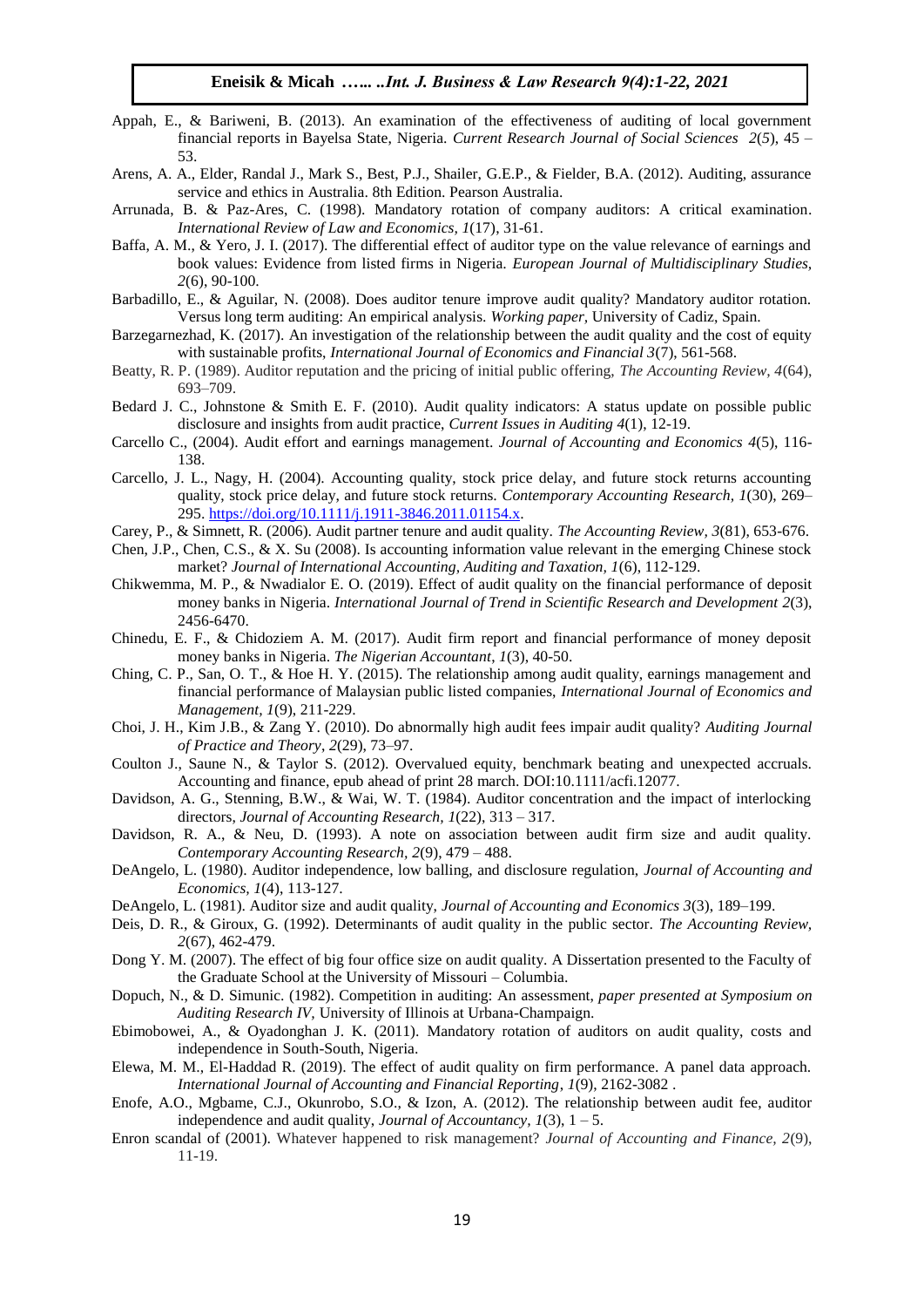- Appah, E., & Bariweni, B. (2013). An examination of the effectiveness of auditing of local government financial reports in Bayelsa State, Nigeria. *Current Research Journal of Social Sciences 2*(*5*), 45 – 53.
- Arens, A. A., Elder, Randal J., Mark S., Best, P.J., Shailer, G.E.P., & Fielder, B.A. (2012). Auditing, assurance service and ethics in Australia. 8th Edition. Pearson Australia.
- Arrunada, B. & Paz-Ares, C. (1998). Mandatory rotation of company auditors: A critical examination. *International Review of Law and Economics, 1*(17), 31-61.
- Baffa, A. M., & Yero, J. I. (2017). The differential effect of auditor type on the value relevance of earnings and book values: Evidence from listed firms in Nigeria. *European Journal of Multidisciplinary Studies, 2*(6), 90-100.
- Barbadillo, E., & Aguilar, N. (2008). Does auditor tenure improve audit quality? Mandatory auditor rotation. Versus long term auditing: An empirical analysis. *Working paper,* University of Cadiz, Spain.
- Barzegarnezhad, K. (2017). An investigation of the relationship between the audit quality and the cost of equity with sustainable profits, *International Journal of Economics and Financial 3*(7), 561-568.
- Beatty, R. P. (1989). Auditor reputation and the pricing of initial public offering, *The Accounting Review, 4*(64), 693–709.
- Bedard J. C., Johnstone & Smith E. F. (2010). Audit quality indicators: A status update on possible public disclosure and insights from audit practice, *Current Issues in Auditing 4*(1), 12-19.
- Carcello C., (2004). Audit effort and earnings management. *Journal of Accounting and Economics 4*(5), 116- 138.
- Carcello, J. L., Nagy, H. (2004). Accounting quality, stock price delay, and future stock returns accounting quality, stock price delay, and future stock returns. *Contemporary Accounting Research, 1*(30), 269– 295[. https://doi.org/10.1111/j.1911-3846.2011.01154.x.](https://doi.org/10.1111/j.1911-3846.2011.01154.x)
- Carey, P., & Simnett, R. (2006). Audit partner tenure and audit quality. *The Accounting Review, 3*(81), 653-676.
- Chen, J.P., Chen, C.S., & X. Su (2008). Is accounting information value relevant in the emerging Chinese stock market? *Journal of International Accounting, Auditing and Taxation, 1*(6), 112-129.
- Chikwemma, M. P., & Nwadialor E. O. (2019). Effect of audit quality on the financial performance of deposit money banks in Nigeria. *International Journal of Trend in Scientific Research and Development 2*(3), 2456-6470.
- Chinedu, E. F., & Chidoziem A. M. (2017). Audit firm report and financial performance of money deposit money banks in Nigeria. *The Nigerian Accountant*, *1*(3), 40-50.
- Ching, C. P., San, O. T., & Hoe H. Y. (2015). The relationship among audit quality, earnings management and financial performance of Malaysian public listed companies, *International Journal of Economics and Management, 1*(9), 211-229.
- Choi, J. H., Kim J.B., & Zang Y. (2010). Do abnormally high audit fees impair audit quality? *Auditing Journal of Practice and Theory*, *2*(29), 73–97.
- Coulton J., Saune N., & Taylor S. (2012). Overvalued equity, benchmark beating and unexpected accruals. Accounting and finance, epub ahead of print 28 march. DOI:10.1111/acfi.12077.
- Davidson, A. G., Stenning, B.W., & Wai, W. T. (1984). Auditor concentration and the impact of interlocking directors, *Journal of Accounting Research, 1*(22), 313 – 317.
- Davidson, R. A., & Neu, D. (1993). A note on association between audit firm size and audit quality. *Contemporary Accounting Research, 2*(9), 479 – 488.
- DeAngelo, L. (1980). Auditor independence, low balling, and disclosure regulation, *Journal of Accounting and Economics, 1*(4), 113-127.
- DeAngelo, L. (1981). Auditor size and audit quality, *Journal of Accounting and Economics 3*(3), 189–199.
- Deis, D. R., & Giroux, G. (1992). Determinants of audit quality in the public sector. *The Accounting Review, 2*(67), 462-479.
- Dong Y. M. (2007). The effect of big four office size on audit quality. A Dissertation presented to the Faculty of the Graduate School at the University of Missouri – Columbia.
- Dopuch, N., & D. Simunic. (1982). Competition in auditing: An assessment, *paper presented at Symposium on Auditing Research IV,* University of Illinois at Urbana-Champaign.
- Ebimobowei, A., & Oyadonghan J. K. (2011). Mandatory rotation of auditors on audit quality, costs and independence in South-South, Nigeria.
- Elewa, M. M., El-Haddad R. (2019). The effect of audit quality on firm performance. A panel data approach. *International Journal of Accounting and Financial Reporting*, *1*(9), 2162-3082 .
- Enofe, A.O., Mgbame, C.J., Okunrobo, S.O., & Izon, A. (2012). The relationship between audit fee, auditor independence and audit quality, *Journal of Accountancy, 1*(3), 1 – 5.
- Enron scandal of (2001). Whatever happened to risk management? *Journal of Accounting and Finance, 2*(9), 11-19.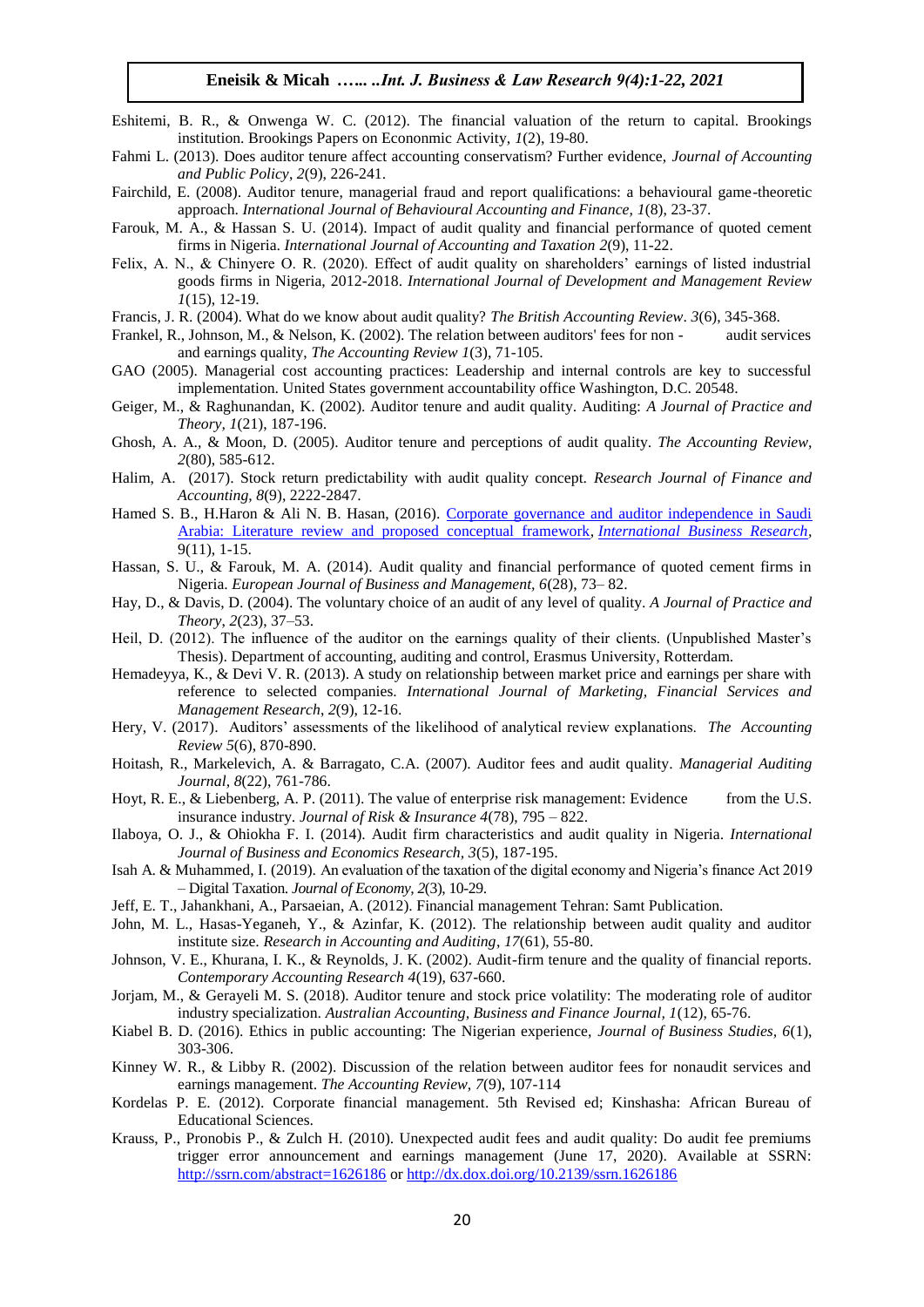- Eshitemi, B. R., & Onwenga W. C. (2012). The financial valuation of the return to capital. Brookings institution. Brookings Papers on Econonmic Activity, *1*(2), 19-80.
- Fahmi L. (2013). Does auditor tenure affect accounting conservatism? Further evidence, *Journal of Accounting and Public Policy*, *2*(9), 226-241.
- Fairchild, E. (2008). Auditor tenure, managerial fraud and report qualifications: a behavioural game-theoretic approach. *International Journal of Behavioural Accounting and Finance, 1*(8), 23-37.
- Farouk, M. A., & Hassan S. U. (2014). Impact of audit quality and financial performance of quoted cement firms in Nigeria. *International Journal of Accounting and Taxation 2*(9), 11-22.
- Felix, A. N., & Chinyere O. R. (2020). Effect of audit quality on shareholders' earnings of listed industrial goods firms in Nigeria, 2012-2018. *International Journal of Development and Management Review 1*(15), 12-19.

Francis, J. R. (2004). What do we know about audit quality? *The British Accounting Review*. *3*(6), 345-368.

- Frankel, R., Johnson, M., & Nelson, K. (2002). The relation between auditors' fees for non audit services and earnings quality, *The Accounting Review 1*(3), 71-105.
- GAO (2005). Managerial cost accounting practices: Leadership and internal controls are key to successful implementation. United States government accountability office Washington, D.C. 20548.
- Geiger, M., & Raghunandan, K. (2002). Auditor tenure and audit quality. Auditing: *A Journal of Practice and Theory, 1*(21), 187-196.
- Ghosh, A. A., & Moon, D. (2005). Auditor tenure and perceptions of audit quality. *The Accounting Review, 2*(80), 585-612.
- Halim, A. (2017). Stock return predictability with audit quality concept. *Research Journal of Finance and Accounting, 8*(9), 2222-2847.
- Hamed S. B., H.Haron & Ali N. B. Hasan, (2016). Corporate governance and auditor independence in Saudi [Arabia: Literature review and proposed conceptual framework,](https://ideas.repec.org/a/ibn/ibrjnl/v9y2016i11p1-15.html) *[International Business Research,](https://ideas.repec.org/s/ibn/ibrjnl.html)* 9(11), 1-15.
- Hassan, S. U., & Farouk, M. A. (2014). Audit quality and financial performance of quoted cement firms in Nigeria. *European Journal of Business and Management, 6*(28), 73– 82.
- Hay, D., & Davis, D. (2004). The voluntary choice of an audit of any level of quality. *A Journal of Practice and Theory*, *2*(23), 37–53.
- Heil, D. (2012). The influence of the auditor on the earnings quality of their clients. (Unpublished Master's Thesis). Department of accounting, auditing and control, Erasmus University, Rotterdam.
- Hemadeyya, K., & Devi V. R. (2013). A study on relationship between market price and earnings per share with reference to selected companies. *International Journal of Marketing, Financial Services and Management Research*, *2*(9), 12-16.
- Hery, V. (2017). Auditors' assessments of the likelihood of analytical review explanations. *The Accounting Review 5*(6), 870-890.
- Hoitash, R., Markelevich, A. & Barragato, C.A. (2007). Auditor fees and audit quality. *Managerial Auditing Journal, 8*(22), 761-786.
- Hoyt, R. E., & Liebenberg, A. P. (2011). The value of enterprise risk management: Evidence from the U.S. insurance industry. *Journal of Risk & Insurance 4*(78), 795 – 822.
- Ilaboya, O. J., & Ohiokha F. I. (2014). Audit firm characteristics and audit quality in Nigeria. *International Journal of Business and Economics Research, 3*(5), 187-195.
- Isah A. & Muhammed, I. (2019). An evaluation of the taxation of the digital economy and Nigeria's finance Act 2019 – Digital Taxation. *Journal of Economy, 2*(3), 10-29.
- Jeff, E. T., Jahankhani, A., Parsaeian, A. (2012). Financial management Tehran: Samt Publication.
- John, M. L., Hasas-Yeganeh, Y., & Azinfar, K. (2012). The relationship between audit quality and auditor institute size. *Research in Accounting and Auditing*, *17*(61), 55-80.
- Johnson, V. E., Khurana, I. K., & Reynolds, J. K. (2002). Audit-firm tenure and the quality of financial reports. *Contemporary Accounting Research 4*(19), 637-660.
- Jorjam, M., & Gerayeli M. S. (2018). Auditor tenure and stock price volatility: The moderating role of auditor industry specialization. *Australian Accounting, Business and Finance Journal, 1*(12), 65-76.
- Kiabel B. D. (2016). Ethics in public accounting: The Nigerian experience, *Journal of Business Studies, 6*(1), 303-306.
- Kinney W. R., & Libby R. (2002). Discussion of the relation between auditor fees for nonaudit services and earnings management. *The Accounting Review, 7*(9), 107-114
- Kordelas P. E. (2012). Corporate financial management. 5th Revised ed; Kinshasha: African Bureau of Educational Sciences.
- Krauss, P., Pronobis P., & Zulch H. (2010). Unexpected audit fees and audit quality: Do audit fee premiums trigger error announcement and earnings management (June 17, 2020). Available at SSRN: <http://ssrn.com/abstract=1626186> or<http://dx.dox.doi.org/10.2139/ssrn.1626186>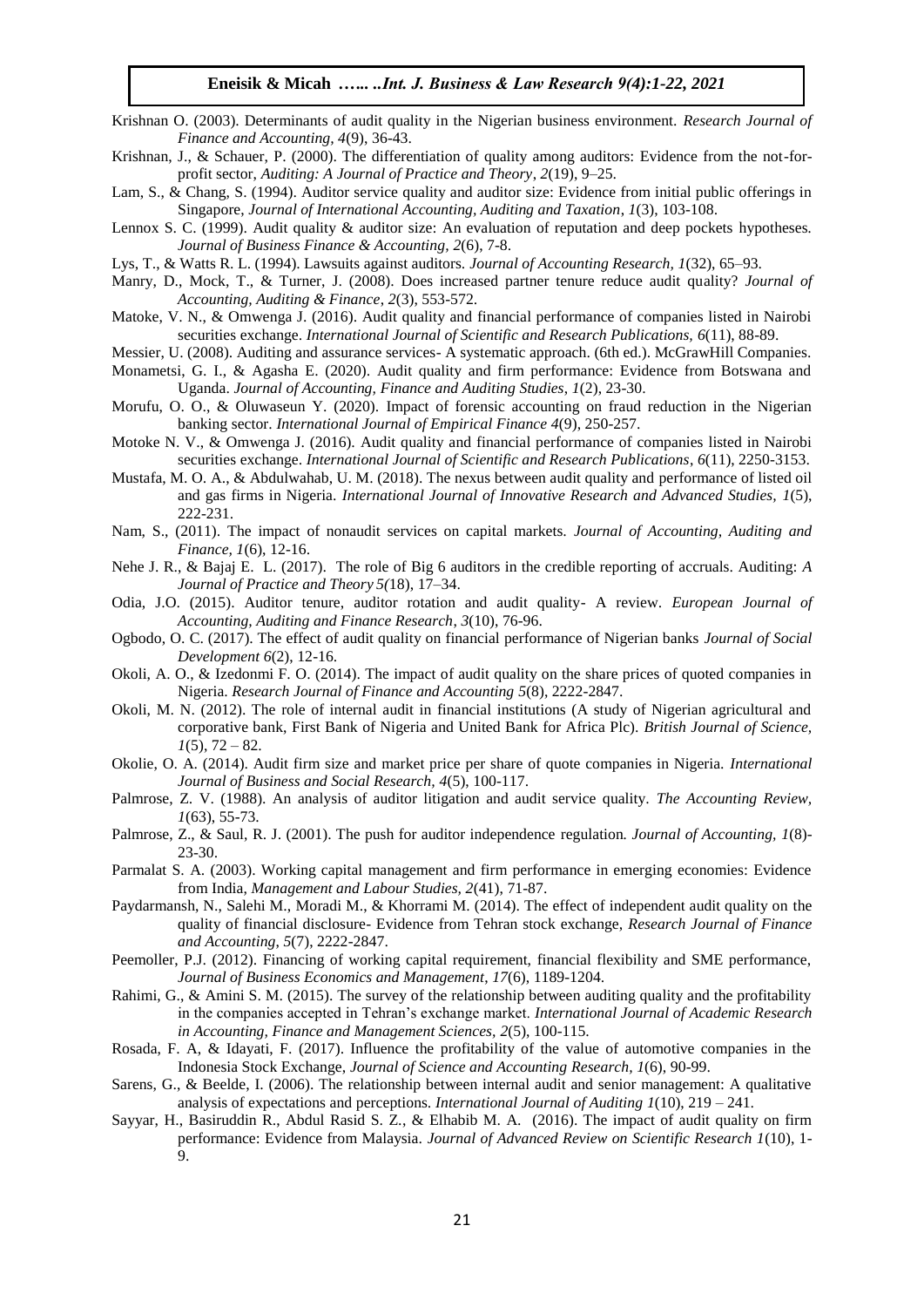- Krishnan O. (2003). Determinants of audit quality in the Nigerian business environment. *Research Journal of Finance and Accounting, 4*(9), 36-43.
- Krishnan, J., & Schauer, P. (2000). The differentiation of quality among auditors: Evidence from the not-forprofit sector, *Auditing: A Journal of Practice and Theory*, *2*(19), 9–25.
- Lam, S., & Chang, S. (1994). Auditor service quality and auditor size: Evidence from initial public offerings in Singapore, *Journal of International Accounting, Auditing and Taxation*, *1*(3), 103-108.
- Lennox S. C. (1999). Audit quality & auditor size: An evaluation of reputation and deep pockets hypotheses*. Journal of Business Finance & Accounting, 2*(6), 7-8.
- Lys, T., & Watts R. L. (1994). Lawsuits against auditors. *Journal of Accounting Research, 1*(32), 65–93.
- Manry, D., Mock, T., & Turner, J. (2008). Does increased partner tenure reduce audit quality? *Journal of Accounting, Auditing & Finance*, *2*(3), 553-572.
- Matoke, V. N., & Omwenga J. (2016). Audit quality and financial performance of companies listed in Nairobi securities exchange. *International Journal of Scientific and Research Publications, 6*(11), 88-89.
- Messier, U. (2008). Auditing and assurance services- A systematic approach. (6th ed.). McGrawHill Companies.
- Monametsi, G. I., & Agasha E. (2020). Audit quality and firm performance: Evidence from Botswana and Uganda. *Journal of Accounting, Finance and Auditing Studies*, *1*(2), 23-30.
- Morufu, O. O., & Oluwaseun Y. (2020). Impact of forensic accounting on fraud reduction in the Nigerian banking sector. *International Journal of Empirical Finance 4*(9), 250-257.
- Motoke N. V., & Omwenga J. (2016). Audit quality and financial performance of companies listed in Nairobi securities exchange. *International Journal of Scientific and Research Publications*, *6*(11), 2250-3153.
- Mustafa, M. O. A., & Abdulwahab, U. M. (2018). The nexus between audit quality and performance of listed oil and gas firms in Nigeria. *International Journal of Innovative Research and Advanced Studies, 1*(5), 222-231.
- Nam, S., (2011). The impact of nonaudit services on capital markets. *Journal of Accounting, Auditing and Finance, 1*(6), 12-16.
- Nehe J. R., & Bajaj E. L. (2017). The role of Big 6 auditors in the credible reporting of accruals. Auditing: *A Journal of Practice and Theory 5(*18), 17–34.
- Odia, J.O. (2015). Auditor tenure, auditor rotation and audit quality- A review. *European Journal of Accounting, Auditing and Finance Research*, *3*(10), 76-96.
- Ogbodo, O. C. (2017). The effect of audit quality on financial performance of Nigerian banks *Journal of Social Development 6*(2), 12-16.
- Okoli, A. O., & Izedonmi F. O. (2014). The impact of audit quality on the share prices of quoted companies in Nigeria. *Research Journal of Finance and Accounting 5*(8), 2222-2847.
- Okoli, M. N. (2012). The role of internal audit in financial institutions (A study of Nigerian agricultural and corporative bank, First Bank of Nigeria and United Bank for Africa Plc). *British Journal of Science,*   $1(5)$ ,  $72 - 82$ .
- Okolie, O. A. (2014). Audit firm size and market price per share of quote companies in Nigeria. *International Journal of Business and Social Research, 4*(5), 100-117.
- Palmrose, Z. V. (1988). An analysis of auditor litigation and audit service quality. *The Accounting Review, 1*(63), 55-73.
- Palmrose, Z., & Saul, R. J. (2001). The push for auditor independence regulation*. Journal of Accounting, 1*(8)- 23-30.
- Parmalat S. A. (2003). Working capital management and firm performance in emerging economies: Evidence from India, *Management and Labour Studies, 2*(41), 71-87.
- Paydarmansh, N., Salehi M., Moradi M., & Khorrami M. (2014). The effect of independent audit quality on the quality of financial disclosure- Evidence from Tehran stock exchange, *Research Journal of Finance and Accounting*, *5*(7), 2222-2847.
- Peemoller, P.J. (2012). Financing of working capital requirement, financial flexibility and SME performance, *Journal of Business Economics and Management*, *17*(6), 1189-1204.
- Rahimi, G., & Amini S. M. (2015). The survey of the relationship between auditing quality and the profitability in the companies accepted in Tehran's exchange market. *International Journal of Academic Research in Accounting, Finance and Management Sciences, 2*(5), 100-115.
- Rosada, F. A, & Idayati, F. (2017). Influence the profitability of the value of automotive companies in the Indonesia Stock Exchange, *Journal of Science and Accounting Research, 1*(6), 90-99.
- Sarens, G., & Beelde, I. (2006). The relationship between internal audit and senior management: A qualitative analysis of expectations and perceptions. *International Journal of Auditing 1*(10), 219 – 241.
- Sayyar, H., Basiruddin R., Abdul Rasid S. Z., & Elhabib M. A. (2016). The impact of audit quality on firm performance: Evidence from Malaysia. *Journal of Advanced Review on Scientific Research 1*(10), 1- 9.